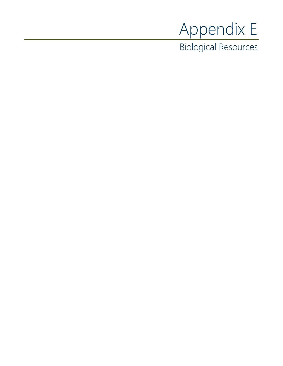# Appendix E

Biological Resources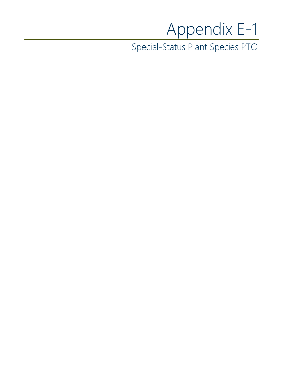## Appendix E-1

Special-Status Plant Species PTO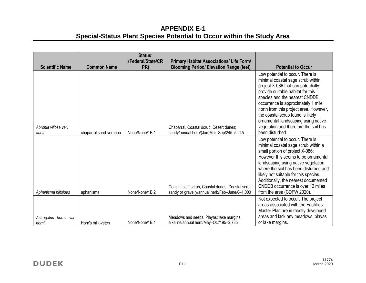### **APPENDIX E-1 Special-Status Plant Species Potential to Occur within the Study Area**

| <b>Scientific Name</b>           | <b>Common Name</b>     | Status <sup>1</sup><br>(Federal/State/CR<br>PR) | <b>Primary Habitat Associations/ Life Form/</b><br><b>Blooming Period/ Elevation Range (feet)</b>    | <b>Potential to Occur</b>                                                                                                                                                                                                                                                                                                                                                                                |
|----------------------------------|------------------------|-------------------------------------------------|------------------------------------------------------------------------------------------------------|----------------------------------------------------------------------------------------------------------------------------------------------------------------------------------------------------------------------------------------------------------------------------------------------------------------------------------------------------------------------------------------------------------|
| Abronia villosa var.<br>aurita   | chaparral sand-verbena | None/None/1B.1                                  | Chaparral, Coastal scrub, Desert dunes;<br>sandy/annual herb/(Jan)Mar-Sep/245-5,245                  | Low potential to occur. There is<br>minimal coastal sage scrub within<br>project X-086 that can potentially<br>provide suitable habitat for this<br>species and the nearest CNDDB<br>occurrence is approximately 1 mile<br>north from this project area. However,<br>the coastal scrub found is likely<br>ornamental landscaping using native<br>vegetation and therefore the soil has<br>been disturbed |
| Aphanisma blitoides              | aphanisma              | None/None/1B.2                                  | Coastal bluff scrub, Coastal dunes, Coastal scrub;<br>sandy or gravelly/annual herb/Feb-June/0-1,000 | Low potential to occur. There is<br>minimal coastal sage scrub within a<br>small portion of project X-086;<br>However this seems to be ornamental<br>landscaping using native vegetation<br>where the soil has been disturbed and<br>likely not suitable for this species.<br>Additionally, the nearest documented<br>CNDDB occurrence is over 12 miles<br>from the area (CDFW 2020).                    |
| Astragalus hornii var.<br>hornii | Horn's milk-vetch      | None/None/1B.1                                  | Meadows and seeps, Playas; lake margins,<br>alkaline/annual herb/May-Oct/195-2,785                   | Not expected to occur. The project<br>areas associated with the Facilities<br>Master Plan are in mostly developed<br>areas and lack any meadows, playas<br>or lake margins.                                                                                                                                                                                                                              |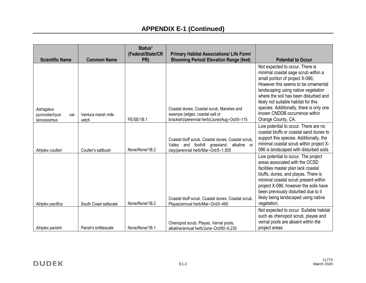| <b>Scientific Name</b>                              | <b>Common Name</b>           | Status <sup>1</sup><br>(Federal/State/CR<br>PR) | <b>Primary Habitat Associations/ Life Form/</b><br><b>Blooming Period/ Elevation Range (feet)</b>                                       | <b>Potential to Occur</b>                                                                                                                                                                                                                                                                                                                                                   |
|-----------------------------------------------------|------------------------------|-------------------------------------------------|-----------------------------------------------------------------------------------------------------------------------------------------|-----------------------------------------------------------------------------------------------------------------------------------------------------------------------------------------------------------------------------------------------------------------------------------------------------------------------------------------------------------------------------|
| Astragalus<br>pycnostachyus<br>var.<br>lanosissimus | Ventura marsh milk-<br>vetch | FE/SE/1B.1                                      | Coastal dunes, Coastal scrub, Marshes and<br>swamps (edges, coastal salt or<br>brackish)/perennial herb/(June)Aug-Oct/0-115             | Not expected to occur. There is<br>minimal coastal sage scrub within a<br>small portion of project X-086;<br>However this seems to be ornamental<br>landscaping using native vegetation<br>where the soil has been disturbed and<br>likely not suitable habitat for this<br>species. Additionally, there is only one<br>known CNDDB occurrence within<br>Orange County, CA. |
| Atriplex coulteri                                   | Coulter's saltbush           | None/None/1B.2                                  | Coastal bluff scrub, Coastal dunes, Coastal scrub,<br>Valley and foothill grassland; alkaline or<br>clay/perennial herb/Mar-Oct/5-1,505 | Low potential to occur. There are no<br>coastal bluffs or coastal sand dunes to<br>support this species. Additionally, the<br>minimal coastal scrub within project X-<br>086 is landscaped with disturbed soils.                                                                                                                                                            |
| Atriplex pacifica                                   | South Coast saltscale        | None/None/1B.2                                  | Coastal bluff scrub, Coastal dunes, Coastal scrub,<br>Playas/annual herb/Mar-Oct/0-460                                                  | Low potential to occur. The project<br>areas associated with the OCSD<br>facilities master plan lack coastal<br>bluffs, dunes, and playas. There is<br>minimal coastal scrub present within<br>project X-086, however the soils have<br>been previously disturbed due to it<br>likely being landscaped using native<br>vegetation.                                          |
| Atriplex parishii                                   | Parish's brittlescale        | None/None/1B.1                                  | Chenopod scrub, Playas, Vernal pools;<br>alkaline/annual herb/June-Oct/80-6,230                                                         | Not expected to occur. Suitable habitat<br>such as chenopod scrub, playas and<br>vernal pools are absent within the<br>project areas.                                                                                                                                                                                                                                       |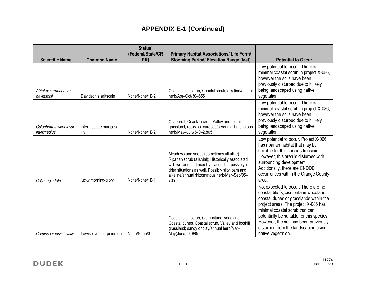| <b>Scientific Name</b>                 | <b>Common Name</b>            | Status <sup>1</sup><br>(Federal/State/CR<br>PR) | <b>Primary Habitat Associations/ Life Form/</b><br><b>Blooming Period/ Elevation Range (feet)</b>                                                                                                                                                            | <b>Potential to Occur</b>                                                                                                                                                                                                                                                                                                                           |
|----------------------------------------|-------------------------------|-------------------------------------------------|--------------------------------------------------------------------------------------------------------------------------------------------------------------------------------------------------------------------------------------------------------------|-----------------------------------------------------------------------------------------------------------------------------------------------------------------------------------------------------------------------------------------------------------------------------------------------------------------------------------------------------|
| Atriplex serenana var.<br>davidsonii   | Davidson's saltscale          | None/None/1B.2                                  | Coastal bluff scrub, Coastal scrub; alkaline/annual<br>herb/Apr-Oct/30-655                                                                                                                                                                                   | Low potential to occur. There is<br>minimal coastal scrub in project X-086,<br>however the soils have been<br>previously disturbed due to it likely<br>being landscaped using native<br>vegetation.                                                                                                                                                 |
| Calochortus weedii var.<br>intermedius | intermediate mariposa<br>lily | None/None/1B.2                                  | Chaparral, Coastal scrub, Valley and foothill<br>grassland; rocky, calcareous/perennial bulbiferous<br>herb/May-July/340-2,805                                                                                                                               | Low potential to occur. There is<br>minimal coastal scrub in project X-086,<br>however the soils have been<br>previously disturbed due to it likely<br>being landscaped using native<br>vegetation.                                                                                                                                                 |
| Calystegia felix                       | lucky morning-glory           | None/None/1B.1                                  | Meadows and seeps (sometimes alkaline),<br>Riparian scrub (alluvial); Historically associated<br>with wetland and marshy places, but possibly in<br>drier situations as well. Possibly silty loam and<br>alkaline/annual rhizomatous herb/Mar-Sep/95-<br>705 | Low potential to occur. Project X-066<br>has riparian habitat that may be<br>suitable for this species to occur.<br>However, this area is disturbed with<br>surrounding development.<br>Additionally, there are CNDDB<br>occurrences within the Orange County<br>area.                                                                              |
| Camissoniopsis lewisii                 | Lewis' evening-primrose       | None/None/3                                     | Coastal bluff scrub, Cismontane woodland,<br>Coastal dunes, Coastal scrub, Valley and foothill<br>grassland; sandy or clay/annual herb/Mar-<br>May(June)/0-985                                                                                               | Not expected to occur. There are no<br>coastal bluffs, cismontane woodland,<br>coastal dunes or grasslands within the<br>project areas. The project X-086 has<br>minimal coastal scrub that can<br>potentially be suitable for this species.<br>However, the soil has been previously<br>disturbed from the landscaping using<br>native vegetation. |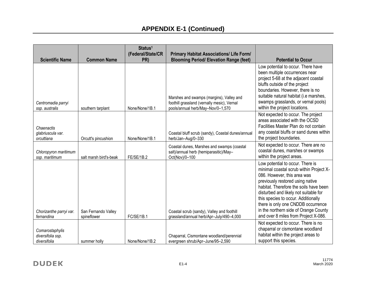| <b>Scientific Name</b>                               | <b>Common Name</b>                 | Status <sup>1</sup><br>(Federal/State/CR<br>PR) | <b>Primary Habitat Associations/ Life Form/</b><br><b>Blooming Period/ Elevation Range (feet)</b>                            | <b>Potential to Occur</b>                                                                                                                                                                                                                                                                                                                                                                       |
|------------------------------------------------------|------------------------------------|-------------------------------------------------|------------------------------------------------------------------------------------------------------------------------------|-------------------------------------------------------------------------------------------------------------------------------------------------------------------------------------------------------------------------------------------------------------------------------------------------------------------------------------------------------------------------------------------------|
| Centromadia parryi<br>ssp. australis                 | southern tarplant                  | None/None/1B.1                                  | Marshes and swamps (margins), Valley and<br>foothill grassland (vernally mesic), Vernal<br>pools/annual herb/May-Nov/0-1,570 | Low potential to occur. There have<br>been multiple occurrences near<br>project 5-68 at the adjacent coastal<br>bluffs outside of the project<br>boundaries. However, there is no<br>suitable natural habitat (i.e marshes,<br>swamps grasslands, or vernal pools)<br>within the project locations.                                                                                             |
| Chaenactis<br>glabriuscula var.<br>orcuttiana        | Orcutt's pincushion                | None/None/1B.1                                  | Coastal bluff scrub (sandy), Coastal dunes/annual<br>herb/Jan-Aug/0-330                                                      | Not expected to occur. The project<br>areas associated with the OCSD<br>Facilities Master Plan do not contain<br>any coastal bluffs or sand dunes within<br>the project boundaries.                                                                                                                                                                                                             |
| Chloropyron maritimum<br>ssp. maritimum              | salt marsh bird's-beak             | FE/SE/1B.2                                      | Coastal dunes, Marshes and swamps (coastal<br>salt)/annual herb (hemiparasitic)/May-<br>Oct(Nov)/0-100                       | Not expected to occur. There are no<br>coastal dunes, marshes or swamps<br>within the project areas.                                                                                                                                                                                                                                                                                            |
| Chorizanthe parryi var.<br>fernandina                | San Fernando Valley<br>spineflower | FC/SE/1B.1                                      | Coastal scrub (sandy), Valley and foothill<br>grassland/annual herb/Apr-July/490-4,000                                       | Low potential to occur. There is<br>minimal coastal scrub within Project X-<br>086. However, this area was<br>previously restored using native<br>habitat. Therefore the soils have been<br>disturbed and likely not suitable for<br>this species to occur. Additionally<br>there is only one CNDDB occurrence<br>in the northern side of Orange County<br>and over 8 miles from Project X-086. |
| Comarostaphylis<br>diversifolia ssp.<br>diversifolia | summer holly                       | None/None/1B.2                                  | Chaparral, Cismontane woodland/perennial<br>evergreen shrub/Apr-June/95-2,590                                                | Not expected to occur. There is no<br>chaparral or cismontane woodland<br>habitat within the project areas to<br>support this species.                                                                                                                                                                                                                                                          |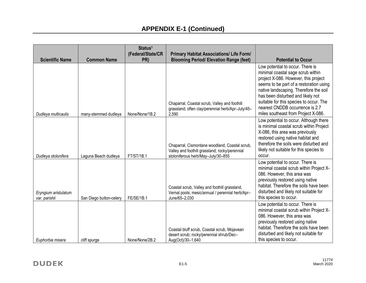| <b>Scientific Name</b>                | <b>Common Name</b>      | Status <sup>1</sup><br>(Federal/State/CR<br>PR) | <b>Primary Habitat Associations/ Life Form/</b><br><b>Blooming Period/ Elevation Range (feet)</b>                                      | <b>Potential to Occur</b>                                                                                                                                                                                                                                                                                                                                    |
|---------------------------------------|-------------------------|-------------------------------------------------|----------------------------------------------------------------------------------------------------------------------------------------|--------------------------------------------------------------------------------------------------------------------------------------------------------------------------------------------------------------------------------------------------------------------------------------------------------------------------------------------------------------|
| Dudleya multicaulis                   | many-stemmed dudleya    | None/None/1B.2                                  | Chaparral, Coastal scrub, Valley and foothill<br>grassland; often clay/perennial herb/Apr-July/45-<br>2,590                            | Low potential to occur. There is<br>minimal coastal sage scrub within<br>project X-086. However, this project<br>seems to be part of a restoration using<br>native landscaping. Therefore the soil<br>has been disturbed and likely not<br>suitable for this species to occur. The<br>nearest CNDDB occurrence is 2.7<br>miles southeast from Project X-086. |
| Dudleya stolonifera                   | Laguna Beach dudleya    | <b>FT/ST/1B.1</b>                               | Chaparral, Cismontane woodland, Coastal scrub,<br>Valley and foothill grassland; rocky/perennial<br>stoloniferous herb/May-July/30-855 | Low potential to occur. Although there<br>is minimal coastal scrub within Project<br>X-086, this area was previously<br>restored using native habitat and<br>therefore the soils were disturbed and<br>likely not suitable for this species to<br>occur.                                                                                                     |
| Eryngium aristulatum<br>var. parishii | San Diego button-celery | <b>FE/SE/1B.1</b>                               | Coastal scrub, Valley and foothill grassland,<br>Vernal pools; mesic/annual / perennial herb/Apr-<br>June/65-2,030                     | Low potential to occur. There is<br>minimal coastal scrub within Project X-<br>086. However, this area was<br>previously restored using native<br>habitat. Therefore the soils have been<br>disturbed and likely not suitable for<br>this species to occur.                                                                                                  |
| Euphorbia misera                      | cliff spurge            | None/None/2B.2                                  | Coastal bluff scrub, Coastal scrub, Mojavean<br>desert scrub; rocky/perennial shrub/Dec-<br>Aug(Oct)/30-1,640                          | Low potential to occur. There is<br>minimal coastal scrub within Project X-<br>086. However, this area was<br>previously restored using native<br>habitat. Therefore the soils have been<br>disturbed and likely not suitable for<br>this species to occur.                                                                                                  |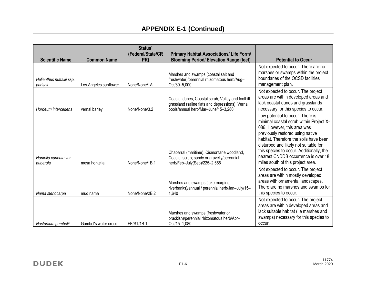| <b>Scientific Name</b>                | <b>Common Name</b>    | Status <sup>1</sup><br>(Federal/State/CR<br>PR) | <b>Primary Habitat Associations/ Life Form/</b><br><b>Blooming Period/ Elevation Range (feet)</b>                                            | <b>Potential to Occur</b>                                                                                                                                                                                                                                                                                                                                 |
|---------------------------------------|-----------------------|-------------------------------------------------|----------------------------------------------------------------------------------------------------------------------------------------------|-----------------------------------------------------------------------------------------------------------------------------------------------------------------------------------------------------------------------------------------------------------------------------------------------------------------------------------------------------------|
| Helianthus nuttallii ssp.<br>parishii | Los Angeles sunflower | None/None/1A                                    | Marshes and swamps (coastal salt and<br>freshwater)/perennial rhizomatous herb/Aug-<br>Oct/30-5,000                                          | Not expected to occur. There are no<br>marshes or swamps within the project<br>boundaries of the OCSD facilities<br>management plan.                                                                                                                                                                                                                      |
| Hordeum intercedens                   | vernal barley         | None/None/3.2                                   | Coastal dunes, Coastal scrub, Valley and foothill<br>grassland (saline flats and depressions), Vernal<br>pools/annual herb/Mar-June/15-3,280 | Not expected to occur. The project<br>areas are within developed areas and<br>lack coastal dunes and grasslands<br>necessary for this species to occur.                                                                                                                                                                                                   |
| Horkelia cuneata var.<br>puberula     | mesa horkelia         | None/None/1B.1                                  | Chaparral (maritime), Cismontane woodland,<br>Coastal scrub; sandy or gravelly/perennial<br>herb/Feb-July(Sep)/225-2,655                     | Low potential to occur. There is<br>minimal coastal scrub within Project X-<br>086. However, this area was<br>previously restored using native<br>habitat. Therefore the soils have been<br>disturbed and likely not suitable for<br>this species to occur. Additionally, the<br>nearest CNDDB occurrence is over 18<br>miles south of this project area. |
| Nama stenocarpa                       | mud nama              | None/None/2B.2                                  | Marshes and swamps (lake margins,<br>riverbanks)/annual / perennial herb/Jan-July/15-<br>1,640                                               | Not expected to occur. The project<br>areas are within mostly developed<br>areas with ornamental landscapes.<br>There are no marshes and swamps for<br>this species to occur.                                                                                                                                                                             |
| Nasturtium gambelii                   | Gambel's water cress  | <b>FE/ST/1B.1</b>                               | Marshes and swamps (freshwater or<br>brackish)/perennial rhizomatous herb/Apr-<br>Oct/15-1,080                                               | Not expected to occur. The project<br>areas are within developed areas and<br>lack suitable habitat (i.e marshes and<br>swamps) necessary for this species to<br>occur.                                                                                                                                                                                   |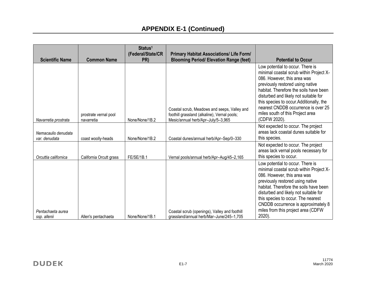| <b>Scientific Name</b>               | <b>Common Name</b>                  | Status <sup>1</sup><br>(Federal/State/CR<br>PR) | <b>Primary Habitat Associations/ Life Form/</b><br><b>Blooming Period/ Elevation Range (feet)</b>                                  | <b>Potential to Occur</b>                                                                                                                                                                                                                                                                                                                                                |
|--------------------------------------|-------------------------------------|-------------------------------------------------|------------------------------------------------------------------------------------------------------------------------------------|--------------------------------------------------------------------------------------------------------------------------------------------------------------------------------------------------------------------------------------------------------------------------------------------------------------------------------------------------------------------------|
| Navarretia prostrata                 | prostrate vernal pool<br>navarretia | None/None/1B.2                                  | Coastal scrub, Meadows and seeps, Valley and<br>foothill grassland (alkaline), Vernal pools;<br>Mesic/annual herb/Apr-July/5-3,965 | Low potential to occur. There is<br>minimal coastal scrub within Project X-<br>086. However, this area was<br>previously restored using native<br>habitat. Therefore the soils have been<br>disturbed and likely not suitable for<br>this species to occur. Additionally, the<br>nearest CNDDB occurrence is over 25<br>miles south of this Project area<br>(CDFW 2020). |
| Nemacaulis denudata<br>var. denudata | coast woolly-heads                  | None/None/1B.2                                  | Coastal dunes/annual herb/Apr-Sep/0-330                                                                                            | Not expected to occur. The project<br>areas lack coastal dunes suitable for<br>this species.                                                                                                                                                                                                                                                                             |
| Orcuttia californica                 | California Orcutt grass             | FE/SE/1B.1                                      | Vernal pools/annual herb/Apr-Aug/45-2,165                                                                                          | Not expected to occur. The project<br>areas lack vernal pools necessary for<br>this species to occur.                                                                                                                                                                                                                                                                    |
| Pentachaeta aurea<br>ssp. allenii    | Allen's pentachaeta                 | None/None/1B.1                                  | Coastal scrub (openings), Valley and foothill<br>grassland/annual herb/Mar-June/245-1,705                                          | Low potential to occur. There is<br>minimal coastal scrub within Project X-<br>086. However, this area was<br>previously restored using native<br>habitat. Therefore the soils have been<br>disturbed and likely not suitable for<br>this species to occur. The nearest<br>CNDDB occurrence is approximately 8<br>miles from this project area (CDFW<br>$2020$ ).        |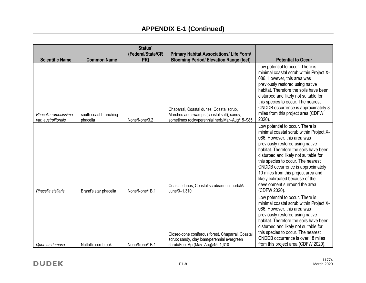|                                              |                                   | Status <sup>1</sup><br>(Federal/State/CR | <b>Primary Habitat Associations/ Life Form/</b>                                                                                        |                                                                                                                                                                                                                                                                                                                                                                                                                                          |
|----------------------------------------------|-----------------------------------|------------------------------------------|----------------------------------------------------------------------------------------------------------------------------------------|------------------------------------------------------------------------------------------------------------------------------------------------------------------------------------------------------------------------------------------------------------------------------------------------------------------------------------------------------------------------------------------------------------------------------------------|
| <b>Scientific Name</b>                       | <b>Common Name</b>                | PR)                                      | <b>Blooming Period/ Elevation Range (feet)</b>                                                                                         | <b>Potential to Occur</b>                                                                                                                                                                                                                                                                                                                                                                                                                |
| Phacelia ramosissima<br>var. austrolitoralis | south coast branching<br>phacelia | None/None/3.2                            | Chaparral, Coastal dunes, Coastal scrub,<br>Marshes and swamps (coastal salt); sandy,<br>sometimes rocky/perennial herb/Mar-Aug/15-985 | Low potential to occur. There is<br>minimal coastal scrub within Project X-<br>086. However, this area was<br>previously restored using native<br>habitat. Therefore the soils have been<br>disturbed and likely not suitable for<br>this species to occur. The nearest<br>CNDDB occurrence is approximately 8<br>miles from this project area (CDFW<br>2020).                                                                           |
| Phacelia stellaris                           | Brand's star phacelia             | None/None/1B.1                           | Coastal dunes, Coastal scrub/annual herb/Mar-<br>June/0-1,310                                                                          | Low potential to occur. There is<br>minimal coastal scrub within Project X-<br>086. However, this area was<br>previously restored using native<br>habitat. Therefore the soils have been<br>disturbed and likely not suitable for<br>this species to occur. The nearest<br>CNDDB occurrence is approximately<br>10 miles from this project area and<br>likely extirpated because of the<br>development surround the area<br>(CDFW 2020). |
| Quercus dumosa                               | Nuttall's scrub oak               | None/None/1B.1                           | Closed-cone coniferous forest, Chaparral, Coastal<br>scrub; sandy, clay loam/perennial evergreen<br>shrub/Feb-Apr(May-Aug)/45-1,310    | Low potential to occur. There is<br>minimal coastal scrub within Project X-<br>086. However, this area was<br>previously restored using native<br>habitat. Therefore the soils have been<br>disturbed and likely not suitable for<br>this species to occur. The nearest<br>CNDDB occurrence is over 18 miles<br>from this project area (CDFW 2020).                                                                                      |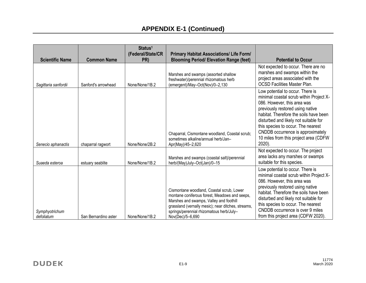| <b>Scientific Name</b>       | <b>Common Name</b>   | Status <sup>1</sup><br>(Federal/State/CR<br>PR) | <b>Primary Habitat Associations/ Life Form/</b><br><b>Blooming Period/ Elevation Range (feet)</b>                                                                                                                                                           | <b>Potential to Occur</b>                                                                                                                                                                                                                                                                                                                                       |
|------------------------------|----------------------|-------------------------------------------------|-------------------------------------------------------------------------------------------------------------------------------------------------------------------------------------------------------------------------------------------------------------|-----------------------------------------------------------------------------------------------------------------------------------------------------------------------------------------------------------------------------------------------------------------------------------------------------------------------------------------------------------------|
| Sagittaria sanfordii         | Sanford's arrowhead  | None/None/1B.2                                  | Marshes and swamps (assorted shallow<br>freshwater)/perennial rhizomatous herb<br>(emergent)/May-Oct(Nov)/0-2,130                                                                                                                                           | Not expected to occur. There are no<br>marshes and swamps within the<br>project areas associated with the<br><b>OCSD Facilities Master Plan.</b>                                                                                                                                                                                                                |
| Senecio aphanactis           | chaparral ragwort    | None/None/2B.2                                  | Chaparral, Cismontane woodland, Coastal scrub;<br>sometimes alkaline/annual herb/Jan-<br>Apr(May)/45-2,620                                                                                                                                                  | Low potential to occur. There is<br>minimal coastal scrub within Project X-<br>086. However, this area was<br>previously restored using native<br>habitat. Therefore the soils have been<br>disturbed and likely not suitable for<br>this species to occur. The nearest<br>CNDDB occurrence is approximately<br>10 miles from this project area (CDFW<br>2020). |
| Suaeda esteroa               | estuary seablite     | None/None/1B.2                                  | Marshes and swamps (coastal salt)/perennial<br>herb/(May)July-Oct(Jan)/0-15                                                                                                                                                                                 | Not expected to occur. The project<br>area lacks any marshes or swamps<br>suitable for this species.                                                                                                                                                                                                                                                            |
| Symphyotrichum<br>defoliatum | San Bernardino aster | None/None/1B.2                                  | Cismontane woodland, Coastal scrub, Lower<br>montane coniferous forest, Meadows and seeps,<br>Marshes and swamps, Valley and foothill<br>grassland (vernally mesic); near ditches, streams,<br>springs/perennial rhizomatous herb/July-<br>Nov(Dec)/5-6,690 | Low potential to occur. There is<br>minimal coastal scrub within Project X-<br>086. However, this area was<br>previously restored using native<br>habitat. Therefore the soils have been<br>disturbed and likely not suitable for<br>this species to occur. The nearest<br>CNDDB occurrence is over 9 miles<br>from this project area (CDFW 2020).              |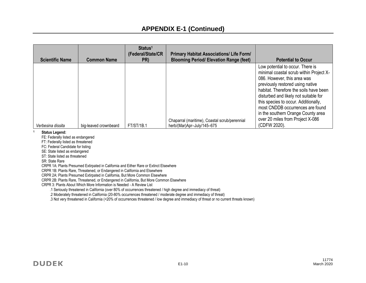| <b>Scientific Name</b> | <b>Common Name</b>    | Status <sup>1</sup><br>(Federal/State/CR<br>PR) | <b>Primary Habitat Associations/ Life Form/</b><br><b>Blooming Period/ Elevation Range (feet)</b> | <b>Potential to Occur</b>                                                                                                                                                                                                                                                                                                                                                               |
|------------------------|-----------------------|-------------------------------------------------|---------------------------------------------------------------------------------------------------|-----------------------------------------------------------------------------------------------------------------------------------------------------------------------------------------------------------------------------------------------------------------------------------------------------------------------------------------------------------------------------------------|
|                        |                       |                                                 | Chaparral (maritime), Coastal scrub/perennial                                                     | Low potential to occur. There is<br>minimal coastal scrub within Project X-<br>086. However, this area was<br>previously restored using native<br>habitat. Therefore the soils have been<br>disturbed and likely not suitable for<br>this species to occur. Additionally,<br>most CNDDB occurrences are found<br>in the southern Orange County area<br>over 20 miles from Project X-086 |
| Verbesina dissita      | big-leaved crownbeard | <b>FT/ST/1B.1</b>                               | herb/(Mar)Apr-July/145-675                                                                        | (CDFW 2020).                                                                                                                                                                                                                                                                                                                                                                            |

#### **<sup>1</sup>Status Legend:**

FE: Federally listed as endangered

FT: Federally listed as threatened

FC: Federal Candidate for listing

SE: State listed as endangered

ST: State listed as threatened

SR: State Rare

CRPR 1A: Plants Presumed Extirpated in California and Either Rare or Extinct Elsewhere

CRPR 1B: Plants Rare, Threatened, or Endangered in California and Elsewhere

CRPR 2A: Plants Presumed Extirpated in California, But More Common Elsewhere

CRPR 2B: Plants Rare, Threatened, or Endangered in California, But More Common Elsewhere

CRPR 3: Plants About Which More Information is Needed - A Review List

.1 Seriously threatened in California (over 80% of occurrences threatened / high degree and immediacy of threat)

.2 Moderately threatened in California (20-80% occurrences threatened / moderate degree and immediacy of threat)

.3 Not very threatened in California (<20% of occurrences threatened / low degree and immediacy of threat or no current threats known)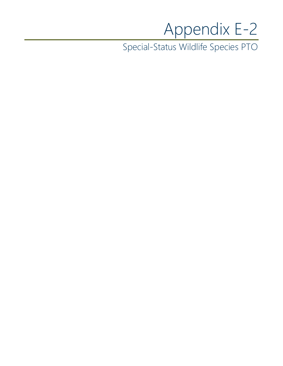## Appendix E-2

Special-Status Wildlife Species PTO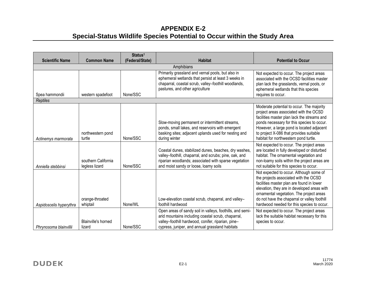## **APPENDIX E-2 Special-Status Wildlife Species Potential to Occur within the Study Area**

| <b>Scientific Name</b>  | <b>Common Name</b>                    | Status <sup>1</sup><br>(Federal/State) | <b>Habitat</b>                                                                                                                                                                                                           | <b>Potential to Occur</b>                                                                                                                                                                                                                                                                                              |
|-------------------------|---------------------------------------|----------------------------------------|--------------------------------------------------------------------------------------------------------------------------------------------------------------------------------------------------------------------------|------------------------------------------------------------------------------------------------------------------------------------------------------------------------------------------------------------------------------------------------------------------------------------------------------------------------|
|                         |                                       |                                        | Amphibians                                                                                                                                                                                                               |                                                                                                                                                                                                                                                                                                                        |
| Spea hammondii          | western spadefoot                     | None/SSC                               | Primarily grassland and vernal pools, but also in<br>ephemeral wetlands that persist at least 3 weeks in<br>chaparral, coastal scrub, valley-foothill woodlands,<br>pastures, and other agriculture                      | Not expected to occur. The project areas<br>associated with the OCSD facilities master<br>plan lack the grasslands, vernal pools, or<br>ephemeral wetlands that this species<br>requires to occur.                                                                                                                     |
| <b>Reptiles</b>         |                                       |                                        |                                                                                                                                                                                                                          |                                                                                                                                                                                                                                                                                                                        |
| Actinemys marmorata     | northwestern pond<br>turtle           | None/SSC                               | Slow-moving permanent or intermittent streams,<br>ponds, small lakes, and reservoirs with emergent<br>basking sites; adjacent uplands used for nesting and<br>during winter                                              | Moderate potential to occur. The majority<br>project areas associated with the OCSD<br>facilities master plan lack the streams and<br>ponds necessary for this species to occur.<br>However, a large pond is located adjacent<br>to project X-086 that provides suitable<br>habitat for northwestern pond turtle.      |
| Anniella stebbinsi      | southern California<br>legless lizard | None/SSC                               | Coastal dunes, stabilized dunes, beaches, dry washes,<br>valley-foothill, chaparral, and scrubs; pine, oak, and<br>riparian woodlands; associated with sparse vegetation<br>and moist sandy or loose, loamy soils        | Not expected to occur. The project areas<br>are located in fully developed or disturbed<br>habitat. The ornamental vegetation and<br>non-loamy soils within the project areas are<br>not suitable for this species to occur.                                                                                           |
| Aspidoscelis hyperythra | orange-throated<br>whiptail           | None/WL                                | Low-elevation coastal scrub, chaparral, and valley-<br>foothill hardwood                                                                                                                                                 | Not expected to occur. Although some of<br>the projects associated with the OCSD<br>facilities master plan are found in lower<br>elevation, they are in developed areas with<br>ornamental vegetation. The project areas<br>do not have the chaparral or valley foothill<br>hardwood needed for this species to occur. |
| Phrynosoma blainvillii  | Blainville's horned<br>lizard         | None/SSC                               | Open areas of sandy soil in valleys, foothills, and semi-<br>arid mountains including coastal scrub, chaparral,<br>valley-foothill hardwood, conifer, riparian, pine-<br>cypress, juniper, and annual grassland habitats | Not expected to occur. The project areas<br>lack the suitable habitat necessary for this<br>species to occur.                                                                                                                                                                                                          |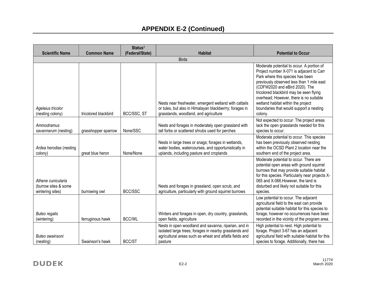| <b>Scientific Name</b>                                         | <b>Common Name</b>   | Status <sup>1</sup><br>(Federal/State) | <b>Habitat</b>                                                                                                                                                                       | <b>Potential to Occur</b>                                                                                                                                                                                                                                                                                                                                                                  |
|----------------------------------------------------------------|----------------------|----------------------------------------|--------------------------------------------------------------------------------------------------------------------------------------------------------------------------------------|--------------------------------------------------------------------------------------------------------------------------------------------------------------------------------------------------------------------------------------------------------------------------------------------------------------------------------------------------------------------------------------------|
|                                                                |                      |                                        | <b>Birds</b>                                                                                                                                                                         |                                                                                                                                                                                                                                                                                                                                                                                            |
| Agelaius tricolor<br>(nesting colony)                          | tricolored blackbird | BCC/SSC, ST                            | Nests near freshwater, emergent wetland with cattails<br>or tules, but also in Himalayan blackberrry; forages in<br>grasslands, woodland, and agriculture                            | Moderate potential to occur. A portion of<br>Project number X-071 is adjacent to Carr<br>Park where this species has been<br>previously observed less than 1 mile east<br>(CDFW2020 and eBird 2020). The<br>tricolored blackbird may be seen flying<br>overhead; However, there is no suitable<br>wetland habitat within the project<br>boundaries that would support a nesting<br>colony. |
| Ammodramus<br>savannarum (nesting)                             | grasshopper sparrow  | None/SSC                               | Nests and forages in moderately open grassland with<br>tall forbs or scattered shrubs used for perches                                                                               | Not expected to occur. The project areas<br>lack the open grasslands needed for this<br>species to occur.                                                                                                                                                                                                                                                                                  |
| Ardea herodias (nesting<br>colony)                             | great blue heron     | None/None                              | Nests in large trees or snags; forages in wetlands,<br>water bodies, watercourses, and opportunistically in<br>uplands, including pasture and croplands                              | Moderate potential to occur. This species<br>has been previously observed nesting<br>within the OCSD Plant 2 location near the<br>southern end of the project area.                                                                                                                                                                                                                        |
| Athene cunicularia<br>(burrow sites & some<br>wintering sites) | burrowing owl        | <b>BCC/SSC</b>                         | Nests and forages in grassland, open scrub, and<br>agriculture, particularly with ground squirrel burrows                                                                            | Moderate potential to occur. There are<br>potential open areas with ground squirrel<br>burrows that may provide suitable habitat<br>for this species. Particularly near projects X-<br>065 and X-066. However, the land is<br>disturbed and likely not suitable for this<br>species.                                                                                                       |
| <b>Buteo regalis</b><br>(wintering)                            | ferruginous hawk     | <b>BCC/WL</b>                          | Winters and forages in open, dry country, grasslands,<br>open fields, agriculture                                                                                                    | Low potential to occur. The adjacent<br>agricultural field to the east can provide<br>potential suitable habitat for this species to<br>forage; however no occurrences have been<br>recorded in the vicinity of the program area.                                                                                                                                                          |
| Buteo swainsoni<br>(nesting)                                   | Swainson's hawk      | <b>BCC/ST</b>                          | Nests in open woodland and savanna, riparian, and in<br>isolated large trees; forages in nearby grasslands and<br>agricultural areas such as wheat and alfalfa fields and<br>pasture | High potential to nest. High potential to<br>forage. Project 3-67 has an adjacent<br>agricultural field with suitable habitat for this<br>species to forage. Additionally, there has                                                                                                                                                                                                       |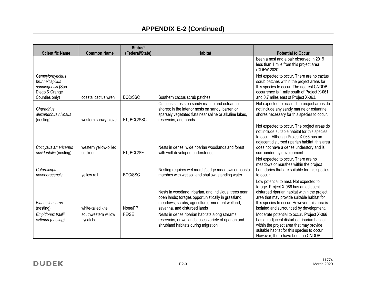| <b>Scientific Name</b>                                                                      | <b>Common Name</b>                | Status <sup>1</sup><br>(Federal/State) | <b>Habitat</b>                                                                                                                                                                                   | <b>Potential to Occur</b>                                                                                                                                                                                                                                                 |
|---------------------------------------------------------------------------------------------|-----------------------------------|----------------------------------------|--------------------------------------------------------------------------------------------------------------------------------------------------------------------------------------------------|---------------------------------------------------------------------------------------------------------------------------------------------------------------------------------------------------------------------------------------------------------------------------|
|                                                                                             |                                   |                                        |                                                                                                                                                                                                  | been a nest and a pair observed in 2019<br>less than 1 mile from this project area<br>(CDFW 2020).                                                                                                                                                                        |
| Campylorhynchus<br>brunneicapillus<br>sandiegensis (San<br>Diego & Orange<br>Counties only) | coastal cactus wren               | <b>BCC/SSC</b>                         | Southern cactus scrub patches                                                                                                                                                                    | Not expected to occur. There are no cactus<br>scrub patches within the project areas for<br>this species to occur. The nearest CNDDB<br>occurrence is 1 mile south of Project X-061<br>and 0.7 miles east of Project X-063.                                               |
| Charadrius<br>alexandrinus nivosus<br>(nesting)                                             | western snowy plover              | FT, BCC/SSC                            | On coasts nests on sandy marine and estuarine<br>shores; in the interior nests on sandy, barren or<br>sparsely vegetated flats near saline or alkaline lakes,<br>reservoirs, and ponds           | Not expected to occur. The project areas do<br>not include any sandy marine or estuarine<br>shores necessary for this species to occur.                                                                                                                                   |
| Coccyzus americanus<br>occidentalis (nesting)                                               | western yellow-billed<br>cuckoo   | FT, BCC/SE                             | Nests in dense, wide riparian woodlands and forest<br>with well-developed understories                                                                                                           | Not expected to occur. The project areas do<br>not include suitable habitat for this species<br>to occur. Although ProjectX-066 has an<br>adjacent disturbed riparian habitat, this area<br>does not have a dense understory and is<br>surrounded by development.         |
| Coturnicops<br>noveboracensis                                                               | yellow rail                       | <b>BCC/SSC</b>                         | Nesting requires wet marsh/sedge meadows or coastal<br>marshes with wet soil and shallow, standing water                                                                                         | Not expected to occur. There are no<br>meadows or marshes within the project<br>boundaries that are suitable for this species<br>to occur.                                                                                                                                |
| Elanus leucurus<br>(nesting)                                                                | white-tailed kite                 | None/FP                                | Nests in woodland, riparian, and individual trees near<br>open lands; forages opportunistically in grassland,<br>meadows, scrubs, agriculture, emergent wetland,<br>savanna, and disturbed lands | Low potential to nest. Not expected to<br>forage. Project X-066 has an adjacent<br>disturbed riparian habitat within the project<br>area that may provide suitable habitat for<br>this species to occur. However, this area is<br>isolated and surrounded by development. |
| Empidonax traillii<br>extimus (nesting)                                                     | southwestern willow<br>flycatcher | FE/SE                                  | Nests in dense riparian habitats along streams,<br>reservoirs, or wetlands; uses variety of riparian and<br>shrubland habitats during migration                                                  | Moderate potential to occur. Project X-066<br>has an adjacent disturbed riparian habitat<br>within the project area that may provide<br>suitable habitat for this species to occur.<br>However, there have been no CNDDB                                                  |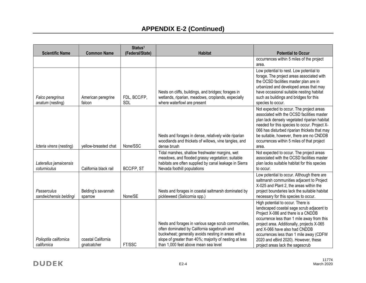|                                        |                                   | Status <sup>1</sup>        |                                                                                                                                                                                                                                                              |                                                                                                                                                                                                                                                                                                                                                                          |
|----------------------------------------|-----------------------------------|----------------------------|--------------------------------------------------------------------------------------------------------------------------------------------------------------------------------------------------------------------------------------------------------------|--------------------------------------------------------------------------------------------------------------------------------------------------------------------------------------------------------------------------------------------------------------------------------------------------------------------------------------------------------------------------|
| <b>Scientific Name</b>                 | <b>Common Name</b>                | (Federal/State)            | <b>Habitat</b>                                                                                                                                                                                                                                               | <b>Potential to Occur</b>                                                                                                                                                                                                                                                                                                                                                |
|                                        |                                   |                            |                                                                                                                                                                                                                                                              | occurrences within 5 miles of the project<br>area.                                                                                                                                                                                                                                                                                                                       |
| Falco peregrinus<br>anatum (nesting)   | American peregrine<br>falcon      | FDL, BCC/FP,<br><b>SDL</b> | Nests on cliffs, buildings, and bridges; forages in<br>wetlands, riparian, meadows, croplands, especially<br>where waterfowl are present                                                                                                                     | Low potential to nest. Low potential to<br>forage. The project areas associated with<br>the OCSD facilities master plan are in<br>urbanized and developed areas that may<br>have occasional suitable nesting habitat<br>such as buildings and bridges for this<br>species to occur.                                                                                      |
| Icteria virens (nesting)               | yellow-breasted chat              | None/SSC                   | Nests and forages in dense, relatively wide riparian<br>woodlands and thickets of willows, vine tangles, and<br>dense brush                                                                                                                                  | Not expected to occur. The project areas<br>associated with the OCSD facilities master<br>plan lack densely vegetated riparian habitat<br>needed for this species to occur. Project X-<br>066 has disturbed riparian thickets that may<br>be suitable, however, there are no CNDDB<br>occurrences within 5 miles of that project<br>area.                                |
| Laterallus jamaicensis<br>coturniculus | California black rail             | BCC/FP, ST                 | Tidal marshes, shallow freshwater margins, wet<br>meadows, and flooded grassy vegetation; suitable<br>habitats are often supplied by canal leakage in Sierra<br>Nevada foothill populations                                                                  | Not expected to occur. The project areas<br>associated with the OCSD facilities master<br>plan lacks suitable habitat for this species<br>to occur.                                                                                                                                                                                                                      |
| Passerculus<br>sandwichensis beldingi  | Belding's savannah<br>sparrow     | None/SE                    | Nests and forages in coastal saltmarsh dominated by<br>pickleweed (Salicornia spp.)                                                                                                                                                                          | Low potential to occur. Although there are<br>saltmarsh communities adjacent to Project<br>X-025 and Plant 2, the areas within the<br>project boundaries lack the suitable habitat<br>necessary for this species to occur.                                                                                                                                               |
| Polioptila californica<br>californica  | coastal California<br>gnatcatcher | FT/SSC                     | Nests and forages in various sage scrub communities,<br>often dominated by California sagebrush and<br>buckwheat; generally avoids nesting in areas with a<br>slope of greater than 40%; majority of nesting at less<br>than 1,000 feet above mean sea level | High potential to occur. There is<br>landscaped coastal sage scrub adjacent to<br>Project X-086 and there is a CNDDB<br>occurrence less than 1 mile away from this<br>project area. Additionally, projects X-065<br>and X-066 have also had CNDDB<br>occurrences less than 1 mile away (CDFW<br>2020 and eBird 2020). However, these<br>project areas lack the sagescrub |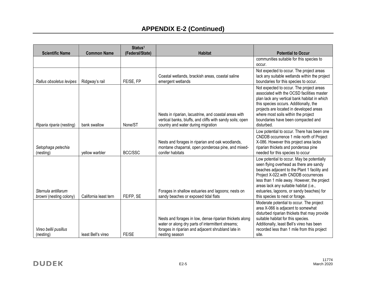| <b>Scientific Name</b>                         | <b>Common Name</b>    | Status <sup>1</sup><br>(Federal/State) | <b>Habitat</b>                                                                                                                                                                       | <b>Potential to Occur</b>                                                                                                                                                                                                                                                                                                                              |
|------------------------------------------------|-----------------------|----------------------------------------|--------------------------------------------------------------------------------------------------------------------------------------------------------------------------------------|--------------------------------------------------------------------------------------------------------------------------------------------------------------------------------------------------------------------------------------------------------------------------------------------------------------------------------------------------------|
|                                                |                       |                                        |                                                                                                                                                                                      | communities suitable for this species to<br>occur.                                                                                                                                                                                                                                                                                                     |
| Rallus obsoletus levipes                       | Ridgway's rail        | FE/SE, FP                              | Coastal wetlands, brackish areas, coastal saline<br>emergent wetlands                                                                                                                | Not expected to occur. The project areas<br>lack any suitable wetlands within the project<br>boundaries for this species to occur.                                                                                                                                                                                                                     |
| Riparia riparia (nesting)                      | bank swallow          | None/ST                                | Nests in riparian, lacustrine, and coastal areas with<br>vertical banks, bluffs, and cliffs with sandy soils; open<br>country and water during migration                             | Not expected to occur. The project areas<br>associated with the OCSD facilities master<br>plan lack any vertical bank habitat in which<br>this species occurs. Additionally, the<br>projects are located in developed areas<br>where most soils within the project<br>boundaries have been compacted and<br>disturbed.                                 |
| Setophaga petechia<br>(nesting)                | yellow warbler        | BCC/SSC                                | Nests and forages in riparian and oak woodlands,<br>montane chaparral, open ponderosa pine, and mixed-<br>conifer habitats                                                           | Low potential to occur. There has been one<br>CNDDB occurrence 1 mile north of Project<br>X-086. However this project area lacks<br>riparian thickets and ponderosa pine<br>needed for this species to occur                                                                                                                                           |
| Sternula antillarum<br>browni (nesting colony) | California least tern | FE/FP, SE                              | Forages in shallow estuaries and lagoons; nests on<br>sandy beaches or exposed tidal flats                                                                                           | Low potential to occur. May be potentially<br>seen flying overhead as there are sandy<br>beaches adjacent to the Plant 1 facility and<br>Project X-022.with CNDDB occurrences<br>less than 1 mile away. However, the project<br>areas lack any suitable habitat (i.e.,<br>estuaries, lagoons, or sandy beaches) for<br>this species to nest or forage. |
| Vireo bellii pusillus<br>(nesting)             | least Bell's vireo    | FE/SE                                  | Nests and forages in low, dense riparian thickets along<br>water or along dry parts of intermittent streams;<br>forages in riparian and adjacent shrubland late in<br>nesting season | Moderate potential to occur. The project<br>area X-066 is adjacent to somewhat<br>disturbed riparian thickets that may provide<br>suitable habitat for this species.<br>Additionally, least Bell's vireo has been<br>recorded less than 1 mile from this project<br>site.                                                                              |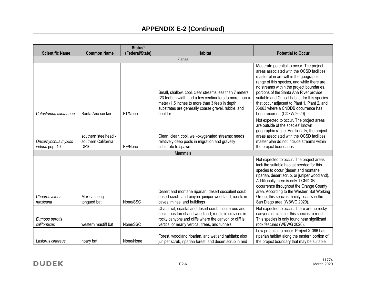| <b>Scientific Name</b>                 | <b>Common Name</b>                                        | Status <sup>1</sup><br>(Federal/State) | <b>Habitat</b>                                                                                                                                                                                                                          | <b>Potential to Occur</b>                                                                                                                                                                                                                                                                                                                                                                                                                  |
|----------------------------------------|-----------------------------------------------------------|----------------------------------------|-----------------------------------------------------------------------------------------------------------------------------------------------------------------------------------------------------------------------------------------|--------------------------------------------------------------------------------------------------------------------------------------------------------------------------------------------------------------------------------------------------------------------------------------------------------------------------------------------------------------------------------------------------------------------------------------------|
|                                        |                                                           |                                        | Fishes                                                                                                                                                                                                                                  |                                                                                                                                                                                                                                                                                                                                                                                                                                            |
| Catostomus santaanae                   | Santa Ana sucker                                          | FT/None                                | Small, shallow, cool, clear streams less than 7 meters<br>(23 feet) in width and a few centimeters to more than a<br>meter (1.5 inches to more than 3 feet) in depth;<br>substrates are generally coarse gravel, rubble, and<br>boulder | Moderate potential to occur. The project<br>areas associated with the OCSD facilities<br>master plan are within the geographic<br>range of this species, and while there are<br>no streams within the project boundaries,<br>portions of the Santa Ana River provide<br>suitable and Critical habitat for this species<br>that occur adjacent to Plant 1, Plant 2, and<br>X-063 where a CNDDB occurrence has<br>been recorded (CDFW 2020). |
| Oncorhynchus mykiss<br>irideus pop. 10 | southern steelhead -<br>southern California<br><b>DPS</b> | FE/None                                | Clean, clear, cool, well-oxygenated streams; needs<br>relatively deep pools in migration and gravelly<br>substrate to spawn                                                                                                             | Not expected to occur. The project areas<br>are outside of the species' known<br>geographic range. Additionally, the project<br>areas associated with the OCSD facilities<br>master plan do not include streams within<br>the project boundaries.                                                                                                                                                                                          |
|                                        |                                                           |                                        | <b>Mammals</b>                                                                                                                                                                                                                          |                                                                                                                                                                                                                                                                                                                                                                                                                                            |
| Choeronycteris<br>mexicana             | Mexican long-<br>tongued bat                              | None/SSC                               | Desert and montane riparian, desert succulent scrub,<br>desert scrub, and pinyon-juniper woodland; roosts in<br>caves, mines, and buildings                                                                                             | Not expected to occur. The project areas<br>lack the suitable habitat needed for this<br>species to occur (desert and montane<br>riparian, desert scrub, or juniper woodland).<br>Additionally there is only 1 CNDDB<br>occurrence throughout the Orange County<br>area. According to the Western Bat Working<br>Group, this species mainly occurs in the<br>San Diego area (WBWG 2020).                                                   |
| Eumops perotis<br>californicus         | western mastiff bat                                       | None/SSC                               | Chaparral, coastal and desert scrub, coniferous and<br>deciduous forest and woodland; roosts in crevices in<br>rocky canyons and cliffs where the canyon or cliff is<br>vertical or nearly vertical, trees, and tunnels                 | Not expected to occur. There are no rocky<br>canyons or cliffs for this species to roost.<br>This species is only found near significant<br>rock features (WBWG 2020).                                                                                                                                                                                                                                                                     |
| Lasiurus cinereus                      | hoary bat                                                 | None/None                              | Forest, woodland riparian, and wetland habitats; also<br>juniper scrub, riparian forest, and desert scrub in arid                                                                                                                       | Low potential to occur. Project X-066 has<br>riparian habitat along the eastern portion of<br>the project boundary that may be suitable                                                                                                                                                                                                                                                                                                    |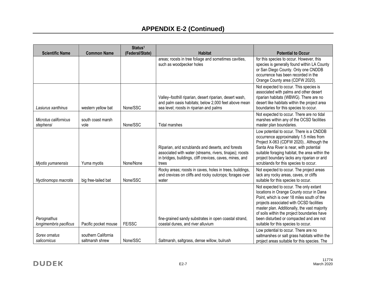|                                       |                                        | Status <sup>1</sup> |                                                                                                                                                                                     |                                                                                                                                                                                                                                                                                                                                                               |
|---------------------------------------|----------------------------------------|---------------------|-------------------------------------------------------------------------------------------------------------------------------------------------------------------------------------|---------------------------------------------------------------------------------------------------------------------------------------------------------------------------------------------------------------------------------------------------------------------------------------------------------------------------------------------------------------|
| <b>Scientific Name</b>                | <b>Common Name</b>                     | (Federal/State)     | <b>Habitat</b>                                                                                                                                                                      | <b>Potential to Occur</b>                                                                                                                                                                                                                                                                                                                                     |
|                                       |                                        |                     | areas; roosts in tree foliage and sometimes cavities,<br>such as woodpecker holes                                                                                                   | for this species to occur. However, this<br>species is generally found within LA County<br>or San Diego County. Only one CNDDB<br>occurrence has been recorded in the<br>Orange County area (CDFW 2020).                                                                                                                                                      |
| Lasiurus xanthinus                    | western yellow bat                     | None/SSC            | Valley-foothill riparian, desert riparian, desert wash,<br>and palm oasis habitats; below 2,000 feet above mean<br>sea level; roosts in riparian and palms                          | Not expected to occur. This species is<br>associated with palms and other desert<br>riparian habitats (WBWG). There are no<br>desert like habitats within the project area<br>boundaries for this species to occur.                                                                                                                                           |
| Microtus californicus<br>stephensi    | south coast marsh<br>vole              | None/SSC            | <b>Tidal marshes</b>                                                                                                                                                                | Not expected to occur. There are no tidal<br>marshes within any of the OCSD facilities<br>master plan boundaries.                                                                                                                                                                                                                                             |
| Myotis yumanensis                     | Yuma myotis                            | None/None           | Riparian, arid scrublands and deserts, and forests<br>associated with water (streams, rivers, tinajas); roosts<br>in bridges, buildings, cliff crevices, caves, mines, and<br>trees | Low potential to occur. There is a CNDDB<br>occurrence approximately 1.5 miles from<br>Project X-063 (CDFW 2020) Although the<br>Santa Ana River is near, with potential<br>suitable foraging habitat, the area within the<br>project boundary lacks any riparian or arid<br>scrublands for this species to occur.                                            |
| Nyctinomops macrotis                  | big free-tailed bat                    | None/SSC            | Rocky areas; roosts in caves, holes in trees, buildings,<br>and crevices on cliffs and rocky outcrops; forages over<br>water                                                        | Not expected to occur. The project areas<br>lack any rocky areas, caves, or cliffs<br>suitable for this species to occur.                                                                                                                                                                                                                                     |
| Perognathus<br>longimembris pacificus | Pacific pocket mouse                   | FE/SSC              | fine-grained sandy substrates in open coastal strand,<br>coastal dunes, and river alluvium                                                                                          | Not expected to occur. The only extant<br>locations in Orange County occur in Dana<br>Point, which is over 18 miles south of the<br>projects associated with OCSD facilities<br>master plan. Additionally, the vast majority<br>of soils within the project boundaries have<br>been disturbed or compacted and are not<br>suitable for this species to occur. |
| Sorex ornatus<br>salicornicus         | southern California<br>saltmarsh shrew | None/SSC            | Saltmarsh, saltgrass, dense willow, bulrush                                                                                                                                         | Low potential to occur. There are no<br>saltmarshes or salt grass habitats within the<br>project areas suitable for this species. The                                                                                                                                                                                                                         |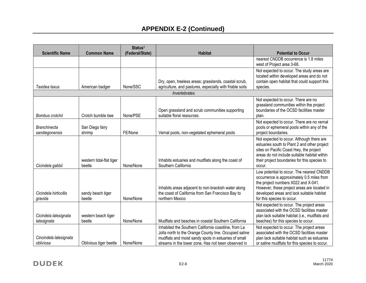|                                       |                                    | Status <sup>1</sup> |                                                                                                                                                                                                                               |                                                                                                                                                                                                                                                          |
|---------------------------------------|------------------------------------|---------------------|-------------------------------------------------------------------------------------------------------------------------------------------------------------------------------------------------------------------------------|----------------------------------------------------------------------------------------------------------------------------------------------------------------------------------------------------------------------------------------------------------|
| <b>Scientific Name</b>                | <b>Common Name</b>                 | (Federal/State)     | <b>Habitat</b>                                                                                                                                                                                                                | <b>Potential to Occur</b>                                                                                                                                                                                                                                |
|                                       |                                    |                     |                                                                                                                                                                                                                               | nearest CNDDB occurrence is 1.8 miles<br>west of Project area 3-68.                                                                                                                                                                                      |
| Taxidea taxus                         | American badger                    | None/SSC            | Dry, open, treeless areas; grasslands, coastal scrub,<br>agriculture, and pastures, especially with friable soils                                                                                                             | Not expected to occur. The study areas are<br>located within developed areas and do not<br>contain open habitat that could support this<br>species.                                                                                                      |
|                                       |                                    |                     | Invertebrates                                                                                                                                                                                                                 |                                                                                                                                                                                                                                                          |
| Bombus crotchii                       | Crotch bumble bee                  | None/PSE            | Open grassland and scrub communities supporting<br>suitable floral resources.                                                                                                                                                 | Not expected to occur. There are no<br>grassland communities within the project<br>boundaries of the OCSD facilities master<br>plan.                                                                                                                     |
| <b>Branchinecta</b><br>sandiegonensis | San Diego fairy<br>shrimp          | FE/None             | Vernal pools, non-vegetated ephemeral pools                                                                                                                                                                                   | Not expected to occur. There are no vernal<br>pools or ephemeral pools within any of the<br>project boundaries.                                                                                                                                          |
| Cicindela gabbii                      | western tidal-flat tiger<br>beetle | None/None           | Inhabits estuaries and mudflats along the coast of<br>Southern California                                                                                                                                                     | Not expected to occur. Although there are<br>estuaries south to Plant 2 and other project<br>sites on Pacific Coast Hwy, the project<br>areas do not include suitable habitat within<br>their project boundaries for this species to<br>occur.           |
| Cicindela hirticollis<br>gravida      | sandy beach tiger<br>beetle        | None/None           | Inhabits areas adjacent to non-brackish water along<br>the coast of California from San Francisco Bay to<br>northern Mexico                                                                                                   | Low potential to occur. The nearest CNDDB<br>occurrence is approximately 0.5 miles from<br>the project numbers X022 and X-041.<br>However, these project areas are located in<br>developed areas and lack suitable habitat<br>for this species to occur. |
| Cicindela latesignata<br>latesignata  | western beach tiger<br>beetle      | None/None           | Mudflats and beaches in coastal Southern California                                                                                                                                                                           | Not expected to occur. The project areas<br>associated with the OCSD facilities master<br>plan lack suitable habitat (i.e., mudflats and<br>beaches) for this species to occur.                                                                          |
| Cincindela latesignata<br>obliviosa   | Oblivious tiger beetle             | None/None           | Inhabited the Southern California coastline, from La<br>Jolla north to the Orange County line. Occupied saline<br>mudflats and moist sandy spots in estuaries of small<br>streams in the lower zone. Has not been observed in | Not expected to occur. The project areas<br>associated with the OCSD facilities master<br>plan lack suitable habitat such as estuaries<br>or saline mudflats for this species to occur.                                                                  |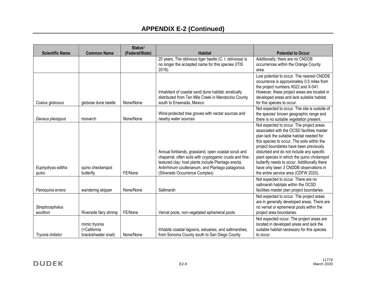| <b>Scientific Name</b> | <b>Common Name</b>     | Status <sup>1</sup><br>(Federal/State) | <b>Habitat</b>                                                                   | <b>Potential to Occur</b>                                                              |
|------------------------|------------------------|----------------------------------------|----------------------------------------------------------------------------------|----------------------------------------------------------------------------------------|
|                        |                        |                                        | 20 years. The oblivious tiger beetle (C. I. obliviosa) is                        | Additionally, there are no CNDDB                                                       |
|                        |                        |                                        | no longer the accepted name for this species (ITIS<br>2016).                     | occurrences within the Orange County<br>area.                                          |
|                        |                        |                                        |                                                                                  | Low potential to occur. The nearest CNDDB                                              |
|                        |                        |                                        |                                                                                  | occurrence is approximately 0.5 miles from<br>the project numbers X022 and X-041.      |
|                        |                        |                                        | Inhabitant of coastal sand dune habitat; erratically                             | However, these project areas are located in                                            |
| Coelus globosus        | globose dune beetle    | None/None                              | distributed from Ten Mile Creek in Mendocino County<br>south to Ensenada, Mexico | developed areas and lack suitable habitat<br>for this species to occur.                |
|                        |                        |                                        |                                                                                  | Not expected to occur. The site is outside of                                          |
|                        |                        |                                        | Wind-protected tree groves with nectar sources and                               | the species' known geographic range and                                                |
| Danaus plexippus       | monarch                | None/None                              | nearby water sources                                                             | there is no suitable vegetation present.<br>Not expected to occur. The project areas   |
|                        |                        |                                        |                                                                                  | associated with the OCSD facilities master                                             |
|                        |                        |                                        |                                                                                  | plan lack the suitable habitat needed for                                              |
|                        |                        |                                        |                                                                                  | this species to occur. The soils within the                                            |
|                        |                        |                                        | Annual forblands, grassland, open coastal scrub and                              | project boundaries have been previously<br>disturbed and do not include any specific   |
|                        |                        |                                        | chaparral; often soils with cryptogamic crusts and fine-                         | plant species in which the quino chckerspot                                            |
|                        |                        |                                        | textured clay; host plants include Plantago erecta,                              | butterfly needs to occur. Additionally there                                           |
| Euphydryas editha      | quino checkerspot      |                                        | Antirrhinum coulterianum, and Plantago patagonica                                | have only been 3 CNDDB observations in                                                 |
| quino                  | butterfly              | FE/None                                | (Silverado Occurrence Complex)                                                   | the entire service area (CDFW 2020).                                                   |
|                        |                        |                                        |                                                                                  | Not expected to occur. There are no<br>saltmarsh habitats within the OCSD              |
| Panoquina errans       | wandering skipper      | None/None                              | Saltmarsh                                                                        | facilities master plan project boundaries.                                             |
|                        |                        |                                        |                                                                                  | Not expected to occur. The project areas                                               |
| Streptocephalus        |                        |                                        |                                                                                  | are in generally developed areas. There are<br>no vernal or ephemeral pools within the |
| woottoni               | Riverside fairy shrimp | FE/None                                | Vernal pools, non-vegetated ephemeral pools                                      | project area boundaries.                                                               |
|                        |                        |                                        |                                                                                  | Not expected occur. The project areas are                                              |
|                        | mimic tryonia          |                                        |                                                                                  | located in developed areas and lack the                                                |
|                        | (=California           |                                        | Inhabits coastal lagoons, estuaries, and saltmarshes,                            | suitable habitat necessary for this species                                            |
| Tryonia imitator       | brackishwater snail)   | None/None                              | from Sonoma County south to San Diego County                                     | to occur.                                                                              |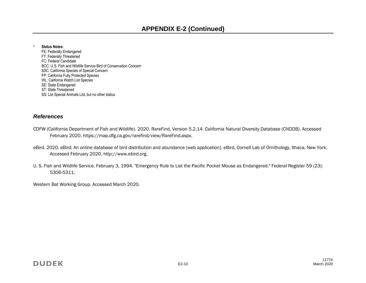#### **<sup>1</sup> Status Notes:**

FE: Federally Endangered FT: Federally Threatened FC: Federal Candidate BCC: U.S. Fish and Wildlife Service Bird of Conservation Concern SSC: California Species of Special Concern FP: California Fully Protected Species WL: California Watch List Species SE: State Endangered ST: State Threatened SS: List Special Animals List, but no other status

#### *References*

- CDFW (California Department of Fish and Wildlife). 2020. RareFind, Version 5.2.14. California Natural Diversity Database (CNDDB). Accessed February 2020. https://map.dfg.ca.gov/rarefind/view/RareFind.aspx.
- eBird. 2020. eBird: An online database of bird distribution and abundance [web application]. eBird, Cornell Lab of Ornithology, Ithaca, New York. Accessed February 2020. http://www.ebird.org.
- U. S. Fish and Wildlife Service. February 3, 1994. "Emergency Rule to List the Pacific Pocket Mouse as Endangered." [Federal Register](https://www.encyclopedia.com/social-sciences-and-law/law/law/federal-register) 59 (23): 5306-5311.

Western Bat Working Group. Accessed March 2020.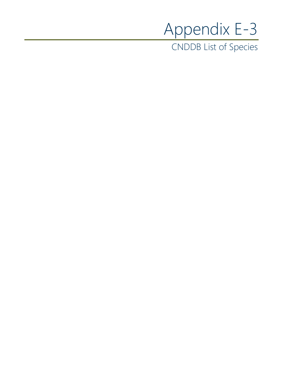# Appendix E-3

CNDDB List of Species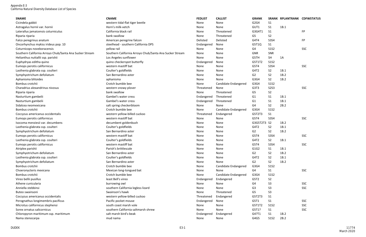| <b>SNAME</b>                                            | <b>CNAME</b>                                            | <b>FEDLIST</b> | <b>CALLIST</b>       | <b>GRANK</b>     |                | SRANK RPLANTRANK CDFWSTATUS |            |
|---------------------------------------------------------|---------------------------------------------------------|----------------|----------------------|------------------|----------------|-----------------------------|------------|
| Cicindela gabbii                                        | western tidal-flat tiger beetle                         | None           | None                 | G2G4             | S1             |                             |            |
| Astragalus hornii var. hornii                           | Horn's milk-vetch                                       | None           | None                 | GUT1             | S <sub>1</sub> | 1B.1                        |            |
| Laterallus jamaicensis coturniculus                     | California black rail                                   | None           | Threatened           | G3G4T1           | S <sub>1</sub> |                             | <b>FP</b>  |
| Riparia riparia                                         | bank swallow                                            | None           | Threatened           | G <sub>5</sub>   | S <sub>2</sub> |                             |            |
| Falco peregrinus anatum                                 | American peregrine falcon                               | Delisted       | Delisted             | G4T4             | <b>S3S4</b>    |                             | FP         |
| Oncorhynchus mykiss irideus pop. 10                     | steelhead - southern California DPS                     | Endangered     | None                 | G5T1Q            | S1             |                             |            |
| Coturnicops noveboracensis                              | yellow rail                                             | None           | None                 | G4               | <b>S1S2</b>    |                             | SSC        |
| Southern California Arroyo Chub/Santa Ana Sucker Stream | Southern California Arroyo Chub/Santa Ana Sucker Stream | None           | None                 | <b>GNR</b>       | SNR            |                             |            |
| Helianthus nuttallii ssp. parishii                      | Los Angeles sunflower                                   | None           | None                 | G5TH             | <b>SH</b>      | 1A                          |            |
| Euphydryas editha quino                                 | quino checkerspot butterfly                             | Endangered     | None                 | G5T1T2           | <b>S1S2</b>    |                             |            |
| Eumops perotis californicus                             | western mastiff bat                                     | None           | None                 | G5T4             | <b>S3S4</b>    |                             | SSC        |
| Lasthenia glabrata ssp. coulteri                        | Coulter's goldfields                                    | None           | None                 | G4T2             | S <sub>2</sub> | 1B.1                        |            |
| Symphyotrichum defoliatum                               | San Bernardino aster                                    | None           | None                 | G2               | S <sub>2</sub> | 1B.2                        |            |
| Aphanisma blitoides                                     | aphanisma                                               | None           | None                 | G3G4             | S <sub>2</sub> | 1B.2                        |            |
| Bombus crotchii                                         | Crotch bumble bee                                       | None           | Candidate Endangered | G3G4             | <b>S1S2</b>    |                             |            |
| Charadrius alexandrinus nivosus                         | western snowy plover                                    | Threatened     | None                 | G3T3             | <b>S2S3</b>    |                             | <b>SSC</b> |
| Riparia riparia                                         | bank swallow                                            | None           | Threatened           | G5               | S <sub>2</sub> |                             |            |
| Nasturtium gambelii                                     | Gambel's water cress                                    | Endangered     | Threatened           | G1               | S <sub>1</sub> | 1B.1                        |            |
| Nasturtium gambelii                                     | Gambel's water cress                                    | Endangered     | Threatened           | G <sub>1</sub>   | S <sub>1</sub> | 1B.1                        |            |
| Sidalcea neomexicana                                    | salt spring checkerbloom                                | None           | None                 | G4               | S <sub>2</sub> | 2B.2                        |            |
| Bombus crotchii                                         | Crotch bumble bee                                       | None           | Candidate Endangered | G3G4             | <b>S1S2</b>    |                             |            |
| Coccyzus americanus occidentalis                        | western yellow-billed cuckoo                            | Threatened     | Endangered           | G5T2T3           | S <sub>1</sub> |                             |            |
| Eumops perotis californicus                             | western mastiff bat                                     | None           | None                 | G5T4             | <b>S3S4</b>    |                             | <b>SSC</b> |
| Isocoma menziesii var. decumbens                        | decumbent goldenbush                                    | None           | None                 | G3G5T2T3 S2      |                | 1B.2                        |            |
| Lasthenia glabrata ssp. coulteri                        | Coulter's goldfields                                    | None           | None                 | G4T2             | S <sub>2</sub> | 1B.1                        |            |
| Symphyotrichum defoliatum                               | San Bernardino aster                                    | None           | None                 | G <sub>2</sub>   | S <sub>2</sub> | 1B.2                        |            |
| Eumops perotis californicus                             | western mastiff bat                                     | None           | None                 | G5T4             | <b>S3S4</b>    |                             | SSC        |
| Lasthenia glabrata ssp. coulteri                        | Coulter's goldfields                                    | None           | None                 | G4T2             | S <sub>2</sub> | 1B.1                        |            |
| Eumops perotis californicus                             | western mastiff bat                                     | None           | None                 | G5T4             | <b>S3S4</b>    |                             | <b>SSC</b> |
| Atriplex parishii                                       | Parish's brittlescale                                   | None           | None                 | G1G2             | S1             | 1B.1                        |            |
| Symphyotrichum defoliatum                               | San Bernardino aster                                    | None           | None                 | G <sub>2</sub>   | S <sub>2</sub> | 1B.2                        |            |
| Lasthenia glabrata ssp. coulteri                        | Coulter's goldfields                                    | None           | None                 | G4T2             | S <sub>2</sub> | 1B.1                        |            |
| Symphyotrichum defoliatum                               | San Bernardino aster                                    | None           | None                 | G2               | S <sub>2</sub> | 1B.2                        |            |
| Bombus crotchii                                         | Crotch bumble bee                                       | None           | Candidate Endangered | G3G4             | <b>S1S2</b>    |                             |            |
| Choeronycteris mexicana                                 | Mexican long-tongued bat                                | None           | None                 | G4               | S <sub>1</sub> |                             | SSC        |
| Bombus crotchii                                         | Crotch bumble bee                                       | None           | Candidate Endangered | G3G4             | <b>S1S2</b>    |                             |            |
| Vireo bellii pusillus                                   | least Bell's vireo                                      | Endangered     | Endangered           | G5T <sub>2</sub> | S <sub>2</sub> |                             |            |
| Athene cunicularia                                      | burrowing owl                                           | None           | None                 | G4               | S <sub>3</sub> |                             | SSC        |
| Anniella stebbinsi                                      | southern California legless lizard                      | None           | None                 | G <sub>3</sub>   | S <sub>3</sub> |                             | <b>SSC</b> |
| Buteo swainsoni                                         | Swainson's hawk                                         | None           | Threatened           | G <sub>5</sub>   | S <sub>3</sub> |                             |            |
| Coccyzus americanus occidentalis                        | western yellow-billed cuckoo                            | Threatened     | Endangered           | G5T2T3           | S <sub>1</sub> |                             |            |
| Perognathus longimembris pacificus                      | Pacific pocket mouse                                    | Endangered     | None                 | G5T1             | S <sub>1</sub> |                             | <b>SSC</b> |
| Microtus californicus stephensi                         | south coast marsh vole                                  | None           | None                 | G5T1T2           | <b>S1S2</b>    |                             | <b>SSC</b> |
| Sorex ornatus salicornicus                              | southern California saltmarsh shrew                     | None           | None                 | G5T1?            | S1             |                             | <b>SSC</b> |
| Chloropyron maritimum ssp. maritimum                    | salt marsh bird's-beak                                  | Endangered     | Endangered           | G4?T1            | S <sub>1</sub> | 1B.2                        |            |
| Nama stenocarpa                                         | mud nama                                                | None           | None                 | G4G5             | S1S2           | 2B.2                        |            |

Appendix E-3 California Natural Diversity Database List of Species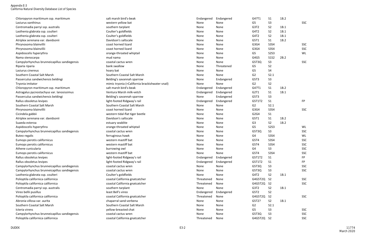| Chloropyron maritimum ssp. maritimum         | salt marsh bird's-beak                          | Endangered | Endangered | G4?T1          | S <sub>1</sub> | 1B.2 |            |
|----------------------------------------------|-------------------------------------------------|------------|------------|----------------|----------------|------|------------|
| Lasiurus xanthinus                           | western yellow bat                              | None       | None       | G <sub>5</sub> | S <sub>3</sub> |      | <b>SSC</b> |
| Centromadia parryi ssp. australis            | southern tarplant                               | None       | None       | G3T2           | S <sub>2</sub> | 1B.1 |            |
| Lasthenia glabrata ssp. coulteri             | Coulter's goldfields                            | None       | None       | G4T2           | S <sub>2</sub> | 1B.1 |            |
| Lasthenia glabrata ssp. coulteri             | Coulter's goldfields                            | None       | None       | G4T2           | S <sub>2</sub> | 1B.1 |            |
| Atriplex serenana var. davidsonii            | Davidson's saltscale                            | None       | None       | G5T1           | S <sub>1</sub> | 1B.2 |            |
| Phrynosoma blainvillii                       | coast horned lizard                             | None       | None       | G3G4           | <b>S3S4</b>    |      | <b>SSC</b> |
| Phrynosoma blainvillii                       | coast horned lizard                             | None       | None       | G3G4           | <b>S3S4</b>    |      | <b>SSC</b> |
| Aspidoscelis hyperythra                      | orange-throated whiptail                        | None       | None       | G5             | <b>S2S3</b>    |      | WL         |
| Nama stenocarpa                              | mud nama                                        | None       | None       | G4G5           | <b>S1S2</b>    | 2B.2 |            |
| Campylorhynchus brunneicapillus sandiegensis | coastal cactus wren                             | None       | None       | G5T3Q          | S <sub>3</sub> |      | <b>SSC</b> |
| Riparia riparia                              | bank swallow                                    | None       | Threatened | G5             | S <sub>2</sub> |      |            |
| Lasiurus cinereus                            | hoary bat                                       | None       | None       | G <sub>5</sub> | S4             |      |            |
| Southern Coastal Salt Marsh                  | Southern Coastal Salt Marsh                     | None       | None       | G <sub>2</sub> | S2.1           |      |            |
| Passerculus sandwichensis beldingi           | Belding's savannah sparrow                      | None       | Endangered | G5T3           | S <sub>3</sub> |      |            |
| Tryonia imitator                             | mimic tryonia (=California brackishwater snail) | None       | None       | G <sub>2</sub> | S <sub>2</sub> |      |            |
| Chloropyron maritimum ssp. maritimum         | salt marsh bird's-beak                          | Endangered | Endangered | G4?T1          | S <sub>1</sub> | 1B.2 |            |
| Astragalus pycnostachyus var. lanosissimus   | Ventura Marsh milk-vetch                        | Endangered | Endangered | G2T1           | S <sub>1</sub> | 1B.1 |            |
| Passerculus sandwichensis beldingi           | Belding's savannah sparrow                      | None       | Endangered | G5T3           | S <sub>3</sub> |      |            |
| Rallus obsoletus levipes                     | light-footed Ridgway's rail                     | Endangered | Endangered | G5T1T2         | S <sub>1</sub> |      | <b>FP</b>  |
| Southern Coastal Salt Marsh                  | Southern Coastal Salt Marsh                     | None       | None       | G <sub>2</sub> | S2.1           |      |            |
| Phrynosoma blainvillii                       | coast horned lizard                             | None       | None       | G3G4           | <b>S3S4</b>    |      | <b>SSC</b> |
| Cicindela gabbii                             | western tidal-flat tiger beetle                 | None       | None       | G2G4           | S <sub>1</sub> |      |            |
| Atriplex serenana var. davidsonii            | Davidson's saltscale                            | None       | None       | G5T1           | S <sub>1</sub> | 1B.2 |            |
| Suaeda esteroa                               | estuary seablite                                | None       | None       | G3             | S <sub>2</sub> | 1B.2 |            |
| Aspidoscelis hyperythra                      | orange-throated whiptail                        | None       | None       | G <sub>5</sub> | <b>S2S3</b>    |      | WL         |
| Campylorhynchus brunneicapillus sandiegensis | coastal cactus wren                             | None       | None       | G5T3Q          | S <sub>3</sub> |      | <b>SSC</b> |
| <b>Buteo regalis</b>                         | ferruginous hawk                                | None       | None       | G4             | <b>S3S4</b>    |      | WL         |
| Eumops perotis californicus                  | western mastiff bat                             | None       | None       | G5T4           | <b>S3S4</b>    |      | <b>SSC</b> |
| Eumops perotis californicus                  | western mastiff bat                             | None       | None       | G5T4           | <b>S3S4</b>    |      | <b>SSC</b> |
| Athene cunicularia                           | burrowing owl                                   | None       | None       | G4             | S <sub>3</sub> |      | <b>SSC</b> |
| Eumops perotis californicus                  | western mastiff bat                             | None       | None       | G5T4           | <b>S3S4</b>    |      | <b>SSC</b> |
| Rallus obsoletus levipes                     | light-footed Ridgway's rail                     | Endangered | Endangered | G5T1T2         | S <sub>1</sub> |      | FP         |
| Rallus obsoletus levipes                     | light-footed Ridgway's rail                     | Endangered | Endangered | G5T1T2         | S <sub>1</sub> |      | FP         |
| Campylorhynchus brunneicapillus sandiegensis | coastal cactus wren                             | None       | None       | G5T3Q          | S <sub>3</sub> |      | <b>SSC</b> |
| Campylorhynchus brunneicapillus sandiegensis | coastal cactus wren                             | None       | None       | G5T3Q          | S <sub>3</sub> |      | <b>SSC</b> |
| Lasthenia glabrata ssp. coulteri             | Coulter's goldfields                            | None       | None       | G4T2           | S <sub>2</sub> | 1B.1 |            |
| Polioptila californica californica           | coastal California gnatcatcher                  | Threatened | None       | G4G5T2Q S2     |                |      | <b>SSC</b> |
| Polioptila californica californica           | coastal California gnatcatcher                  | Threatened | None       | G4G5T2Q        | S <sub>2</sub> |      | <b>SSC</b> |
| Centromadia parryi ssp. australis            | southern tarplant                               | None       | None       | G3T2           | S <sub>2</sub> | 1B.1 |            |
| Vireo bellii pusillus                        | least Bell's vireo                              | Endangered | Endangered | G5T2           | S <sub>2</sub> |      |            |
| Polioptila californica californica           | coastal California gnatcatcher                  | Threatened | None       | G4G5T2Q        | S <sub>2</sub> |      | <b>SSC</b> |
| Abronia villosa var. aurita                  | chaparral sand-verbena                          | None       | None       | G5T2?          | S <sub>2</sub> | 1B.1 |            |
| Southern Coastal Salt Marsh                  | Southern Coastal Salt Marsh                     | None       | None       | G <sub>2</sub> | S2.1           |      |            |
| Icteria virens                               | yellow-breasted chat                            | None       | None       | G <sub>5</sub> | S <sub>3</sub> |      | <b>SSC</b> |
| Campylorhynchus brunneicapillus sandiegensis | coastal cactus wren                             | None       | None       | G5T3Q          | S <sub>3</sub> |      | SSC        |
| Polioptila californica californica           | coastal California gnatcatcher                  | Threatened | None       | G4G5T2Q S2     |                |      | SSC        |
|                                              |                                                 |            |            |                |                |      |            |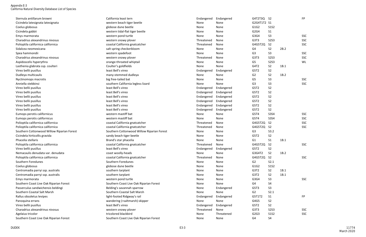Sternula antillarum browni enterity and the California least tern control of the Endangered Endangered G4T2T3Q S Cicindela latesignata latesignata western beach tiger beetle None None None G2G4T1T2 S Coelus globosus and the coelus globose dune beetle coelus and the None None None G1G2 S1S2 Cicindela gabbii western tidal-flat tiger beetle None None None None G2G4 Emys marmorata **Emys marmorata** and the settern pond turtle and the settern pond turtle None None None G3G4 S3 SSC Charadrius alexandrinus nivosus examples western snowy plover and the state of the Threatened None G3T3 Polioptila californica californica content coastal California gnatcatcher content content content content content content content content content content content content content content content content content content cont Sidalcea neomexicana salt spring checkerbloom None None G4 S2 2B.2 Spea hammondii www.com western spadefoot western spadefoot None None None G3 S3 SSC Charadrius alexandrinus nivosus examples western snowy plover and the state of the Threatened None G3T3 Aspidoscelis hyperythra **Accord Exercise Server Aspidoscelis hyperythra** and G5 C5 C5 C5 C5 Weight Aspidoscelis hyperythra Lasthenia glabrata ssp. coulteri entry and the Coulter's goldfields and the Coulter's goldfields None None S4T2 Vireo bellii pusillus and a secure controller subsetsion of the least Bell's vireo Controller Controller Controller Controller Controller Controller Controller Controller Controller Controller Controller Controller Control Dudleya multicaulis and the state of the many-stemmed dudleya notice and the None None None G2 Nyctinomops macrotis big free-tailed bat None None G5 S3 SSC Anniella stebbinsi southern California legless lizard None None None G3 Vireo bellii pusillus least Bell's vireo Endangered Endangered G5T2 S2 Vireo bellii pusillus **Santis Construction Construction** least Bell's vireo **Endangered Endangered Endangered** G5T2 Vireo bellii pusillus and the second of the second below the least Bell's vireo second the endangered Endangered Endangered G5T2 Vireo bellii pusillus and the second vireo second bell's vireo and the endangered Endangered Endangered Endangered G5T2 Vireo bellii pusillus and the second control of the least Bell's vireo example and Endangered Endangered Endangered G5T2 Vireo bellii pusillus and the second control of the least Bell's vireo and the second Endangered Endangered Endangered G5T2 Eumops perotis californicus and the second of the second western mastiff bat None None None G5T4 SST4 Eumops perotis californicus and the second of the second western mastiff bat None None None None G5T4 Polioptila californica californica contra contra coastal California gnatcatcher Communical Contra Communical Communication COST2Q S Polioptila californica californica contra contra coastal California gnatcatcher Communical Contra Communical Communication COST2Q S Southern Cottonwood Willow Riparian Forest Southern Cottonwood Willow Riparian Forest None None None G3 Cicindela hirticollis gravida sand sandy beach tiger beetle sandy beach tiger beetle None None None G5T2 Phacelia stellaris **Example 20 Secure 20 Secure 20 Secure 20 Secure 20 Secure 20 Secure 20 S** C<sub>1</sub> S1 1B.1 1B.1 Polioptila californica californica computational constal California gnatcatcher computer constal California gnatcatcher computational constal California gnatcatcher computational constal California gnatcatcher computationa Vireo bellii pusillus and the second vireo second bell's vireo second and the endangered Endangered Endangered G5T2 S2T2 Nemacaulis denudata var. denudata entitled and the coast woolly-heads and the set of the None None None G3G4T2 Polioptila californica californica **coastal California gnatcatcher** Contemporary Constant California gnatcatcher Constant California gnatcatcher Constant Constant Constant Constant California gnatcatcher Constant Constant Southern Foredunes **Southern Foredunes** Southern Foredunes None None None G2 S2.1 Coelus globosus and the coelus globose dune beetle coelus and the None None None G1G2 S1S2 Centromadia parryi ssp. australis southern tarplant southern tarplant none None None None G3T2 Centromadia parryi ssp. australis southern tarplant southern tarplant southern tarplant None None None G3T2 Emys marmorata **Emys marmorata** and the settern pond turtle and the settern pond turtle None None None G3G4 S3 SSC Southern Coast Live Oak Riparian Forest The Southern Coast Live Oak Riparian Forest None None None SG4 Passerculus sandwichensis beldingi entitled as a savannah sparrow belding's savannah sparrow None Endangered G5T3 Southern Coastal Salt Marsh Southern Coastal Salt Marsh Southern Coastal Salt Marsh None None None S2 Rallus obsoletus levipes and the second of the state of light-footed Ridgway's rail CFT Endangered Endangered Endangered G5T1T2 Panoquina errans and the state of the wandering (=saltmarsh) skipper None None None None S4G5 Vireo bellii pusillus and the second vireo second bell's vireo and the endangered Endangered Endangered G5T2 S2T2 Charadrius alexandrinus nivosus examples western snowy plover and the state of the Threatened None G3T3 Agelaius tricolor **Agelaius tricolored blackbird** and tricolored blackbird **None** Threatened G2G3 S1S2 SSC Southern Coast Live Oak Riparian Forest **Southern Coast Live Oak Riparian Forest** Southern Coast Live Oak Riparian Forest Southern Coast Live Oak Riparian Forest Southern Coast Live Oak Riparian Forest Southern Coast Live

|      | FP                                           |
|------|----------------------------------------------|
|      |                                              |
|      |                                              |
|      |                                              |
|      | SSC                                          |
|      | SSC                                          |
|      | SSC                                          |
|      |                                              |
|      | SSC                                          |
|      | SSC                                          |
|      | WL                                           |
|      |                                              |
|      |                                              |
|      |                                              |
|      |                                              |
|      | SSC                                          |
|      | SSC                                          |
|      |                                              |
|      |                                              |
|      |                                              |
|      |                                              |
|      |                                              |
|      |                                              |
|      | SSC                                          |
|      | SSC                                          |
|      | SSC                                          |
|      | SSC                                          |
|      |                                              |
|      |                                              |
| 1B.1 |                                              |
|      | SSC                                          |
|      |                                              |
|      |                                              |
|      | SSC                                          |
|      |                                              |
|      |                                              |
|      |                                              |
|      |                                              |
|      | SSC                                          |
|      |                                              |
|      |                                              |
|      |                                              |
|      |                                              |
|      | <b>FP</b>                                    |
|      |                                              |
|      |                                              |
|      | SSC                                          |
|      | SSC                                          |
|      |                                              |
|      | 2B.2<br>1B.1<br>1B.2<br>1B.2<br>1B.1<br>1B.1 |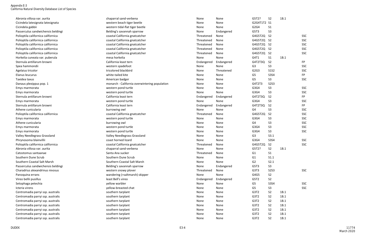| Abronia villosa var. aurita        | chaparral sand-verbena                        | None       | None       | G5T2?          | S <sub>2</sub> | 1B.1 |            |
|------------------------------------|-----------------------------------------------|------------|------------|----------------|----------------|------|------------|
| Cicindela latesignata latesignata  | western beach tiger beetle                    | None       | None       | G2G4T1T2 S1    |                |      |            |
| Cicindela gabbii                   | western tidal-flat tiger beetle               | None       | None       | G2G4           | S <sub>1</sub> |      |            |
| Passerculus sandwichensis beldingi | Belding's savannah sparrow                    | None       | Endangered | G5T3           | S <sub>3</sub> |      |            |
| Polioptila californica californica | coastal California gnatcatcher                | Threatened | None       | G4G5T2Q S2     |                |      | <b>SSC</b> |
| Polioptila californica californica | coastal California gnatcatcher                | Threatened | None       | G4G5T2Q S2     |                |      | <b>SSC</b> |
| Polioptila californica californica | coastal California gnatcatcher                | Threatened | None       | G4G5T2Q S2     |                |      | <b>SSC</b> |
| Polioptila californica californica | coastal California gnatcatcher                | Threatened | None       | G4G5T2Q S2     |                |      | <b>SSC</b> |
| Polioptila californica californica | coastal California gnatcatcher                | Threatened | None       | G4G5T2Q S2     |                |      | <b>SSC</b> |
| Horkelia cuneata var. puberula     | mesa horkelia                                 | None       | None       | G4T1           | S <sub>1</sub> | 1B.1 |            |
| Sternula antillarum browni         | California least tern                         | Endangered | Endangered | G4T2T3Q S2     |                |      | FP.        |
| Spea hammondii                     | western spadefoot                             | None       | None       | G <sub>3</sub> | S <sub>3</sub> |      | <b>SSC</b> |
| Agelaius tricolor                  | tricolored blackbird                          | None       | Threatened | G2G3           | <b>S1S2</b>    |      | SSC        |
| Elanus leucurus                    | white-tailed kite                             | None       | None       | G <sub>5</sub> | <b>S3S4</b>    |      | FP.        |
| Taxidea taxus                      | American badger                               | None       | None       | G <sub>5</sub> | S <sub>3</sub> |      | <b>SSC</b> |
| Danaus plexippus pop. 1            | monarch - California overwintering population | None       | None       | G4T2T3         | <b>S2S3</b>    |      |            |
| Emys marmorata                     | western pond turtle                           | None       | None       | G3G4           | S <sub>3</sub> |      | <b>SSC</b> |
| Emys marmorata                     | western pond turtle                           | None       | None       | G3G4           | S <sub>3</sub> |      | <b>SSC</b> |
| Sternula antillarum browni         | California least tern                         | Endangered | Endangered | G4T2T3Q        | S <sub>2</sub> |      | FP.        |
| Emys marmorata                     | western pond turtle                           | None       | None       | G3G4           | S <sub>3</sub> |      | SSC        |
| Sternula antillarum browni         | California least tern                         | Endangered | Endangered | G4T2T3Q S2     |                |      | FP.        |
| Athene cunicularia                 | burrowing owl                                 | None       | None       | G <sub>4</sub> | S <sub>3</sub> |      | SSC        |
| Polioptila californica californica | coastal California gnatcatcher                | Threatened | None       | G4G5T2Q S2     |                |      | <b>SSC</b> |
| Emys marmorata                     | western pond turtle                           | None       | None       | G3G4           | S <sub>3</sub> |      | <b>SSC</b> |
| Athene cunicularia                 | burrowing owl                                 | None       | None       | G4             | S <sub>3</sub> |      | <b>SSC</b> |
| Emys marmorata                     | western pond turtle                           | None       | None       | G3G4           | S <sub>3</sub> |      | <b>SSC</b> |
| Emys marmorata                     | western pond turtle                           | None       | None       | G3G4           | S <sub>3</sub> |      | SSC        |
| Valley Needlegrass Grassland       | <b>Valley Needlegrass Grassland</b>           | None       | None       | G3             | S3.1           |      |            |
| Phrynosoma blainvillii             | coast horned lizard                           | None       | None       | G3G4           | <b>S3S4</b>    |      | <b>SSC</b> |
| Polioptila californica californica | coastal California gnatcatcher                | Threatened | None       | G4G5T2Q        | S <sub>2</sub> |      | <b>SSC</b> |
| Abronia villosa var. aurita        | chaparral sand-verbena                        | None       | None       | G5T2?          | S <sub>2</sub> | 1B.1 |            |
| Catostomus santaanae               | Santa Ana sucker                              | Threatened | None       | G1             | S <sub>1</sub> |      |            |
| Southern Dune Scrub                | Southern Dune Scrub                           | None       | None       | G1             | S1.1           |      |            |
| Southern Coastal Salt Marsh        | Southern Coastal Salt Marsh                   | None       | None       | G <sub>2</sub> | S2.1           |      |            |
| Passerculus sandwichensis beldingi | Belding's savannah sparrow                    | None       | Endangered | G5T3           | S <sub>3</sub> |      |            |
| Charadrius alexandrinus nivosus    | western snowy plover                          | Threatened | None       | G3T3           | <b>S2S3</b>    |      | <b>SSC</b> |
| Panoquina errans                   | wandering (=saltmarsh) skipper                | None       | None       | G4G5           | S <sub>2</sub> |      |            |
| Vireo bellii pusillus              | least Bell's vireo                            | Endangered | Endangered | G5T2           | S <sub>2</sub> |      |            |
| Setophaga petechia                 | yellow warbler                                | None       | None       | G5             | <b>S3S4</b>    |      | <b>SSC</b> |
| Icteria virens                     | yellow-breasted chat                          | None       | None       | G5             | S <sub>3</sub> |      | <b>SSC</b> |
| Centromadia parryi ssp. australis  | southern tarplant                             | None       | None       | G3T2           | S <sub>2</sub> | 1B.1 |            |
| Centromadia parryi ssp. australis  | southern tarplant                             | None       | None       | G3T2           | S <sub>2</sub> | 1B.1 |            |
| Centromadia parryi ssp. australis  | southern tarplant                             | None       | None       | G3T2           | S <sub>2</sub> | 1B.1 |            |
| Centromadia parryi ssp. australis  | southern tarplant                             | None       | None       | G3T2           | S <sub>2</sub> | 1B.1 |            |
| Centromadia parryi ssp. australis  | southern tarplant                             | None       | None       | G3T2           | S <sub>2</sub> | 1B.1 |            |
| Centromadia parryi ssp. australis  | southern tarplant                             | None       | None       | G3T2           | S <sub>2</sub> | 1B.1 |            |
| Centromadia parryi ssp. australis  | southern tarplant                             | None       | None       | G3T2           | S <sub>2</sub> | 1B.1 |            |
|                                    |                                               |            |            |                |                |      |            |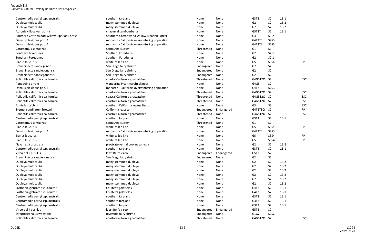| Centromadia parryi ssp. australis          | southern tarplant                             | None       | None       | G3T2           | S <sub>2</sub> | 1B.1 |            |
|--------------------------------------------|-----------------------------------------------|------------|------------|----------------|----------------|------|------------|
| Dudleya multicaulis                        | many-stemmed dudleya                          | None       | None       | G <sub>2</sub> | S <sub>2</sub> | 1B.2 |            |
| Dudleya multicaulis                        | many-stemmed dudleya                          | None       | None       | G <sub>2</sub> | S <sub>2</sub> | 1B.2 |            |
| Abronia villosa var. aurita                | chaparral sand-verbena                        | None       | None       | G5T2?          | S <sub>2</sub> | 1B.1 |            |
| Southern Cottonwood Willow Riparian Forest | Southern Cottonwood Willow Riparian Forest    | None       | None       | G <sub>3</sub> | S3.2           |      |            |
| Danaus plexippus pop. 1                    | monarch - California overwintering population | None       | None       | G4T2T3         | <b>S2S3</b>    |      |            |
| Danaus plexippus pop. 1                    | monarch - California overwintering population | None       | None       | G4T2T3         | <b>S2S3</b>    |      |            |
| Catostomus santaanae                       | Santa Ana sucker                              | Threatened | None       | G <sub>1</sub> | S <sub>1</sub> |      |            |
| Southern Foredunes                         | Southern Foredunes                            | None       | None       | G <sub>2</sub> | S2.1           |      |            |
| Southern Foredunes                         | Southern Foredunes                            | None       | None       | G <sub>2</sub> | S2.1           |      |            |
| Elanus leucurus                            | white-tailed kite                             | None       | None       | G5             | <b>S3S4</b>    |      | <b>FP</b>  |
| Branchinecta sandiegonensis                | San Diego fairy shrimp                        | Endangered | None       | G <sub>2</sub> | S <sub>2</sub> |      |            |
| Branchinecta sandiegonensis                | San Diego fairy shrimp                        | Endangered | None       | G <sub>2</sub> | S <sub>2</sub> |      |            |
| Branchinecta sandiegonensis                | San Diego fairy shrimp                        | Endangered | None       | G <sub>2</sub> | S <sub>2</sub> |      |            |
| Polioptila californica californica         | coastal California gnatcatcher                | Threatened | None       | G4G5T2Q        | S <sub>2</sub> |      | <b>SSC</b> |
| Panoquina errans                           | wandering (=saltmarsh) skipper                | None       | None       | G4G5           | S <sub>2</sub> |      |            |
| Danaus plexippus pop. 1                    | monarch - California overwintering population | None       | None       | G4T2T3         | <b>S2S3</b>    |      |            |
| Polioptila californica californica         | coastal California gnatcatcher                | Threatened | None       | G4G5T2Q        | <b>S2</b>      |      | <b>SSC</b> |
| Polioptila californica californica         | coastal California gnatcatcher                | Threatened | None       | G4G5T2Q S2     |                |      | <b>SSC</b> |
| Polioptila californica californica         | coastal California gnatcatcher                | Threatened | None       | G4G5T2Q S2     |                |      | <b>SSC</b> |
| Anniella stebbinsi                         | southern California legless lizard            | None       | None       | G <sub>3</sub> | S <sub>3</sub> |      | <b>SSC</b> |
| Sternula antillarum browni                 | California least tern                         | Endangered | Endangered | G4T2T3Q        | S <sub>2</sub> |      | <b>FP</b>  |
| Polioptila californica californica         | coastal California gnatcatcher                | Threatened | None       | G4G5T2Q        | <b>S2</b>      |      | <b>SSC</b> |
| Centromadia parryi ssp. australis          | southern tarplant                             | None       | None       | G3T2           | S <sub>2</sub> | 1B.1 |            |
| Catostomus santaanae                       | Santa Ana sucker                              | Threatened | None       | G <sub>1</sub> | S <sub>1</sub> |      |            |
| Elanus leucurus                            | white-tailed kite                             | None       | None       | G <sub>5</sub> | <b>S3S4</b>    |      | <b>FP</b>  |
| Danaus plexippus pop. 1                    | monarch - California overwintering population | None       | None       | G4T2T3         | <b>S2S3</b>    |      |            |
| Elanus leucurus                            | white-tailed kite                             | None       | None       | G5             | <b>S3S4</b>    |      | <b>FP</b>  |
| Elanus leucurus                            | white-tailed kite                             | None       | None       | G <sub>5</sub> | <b>S3S4</b>    |      | <b>FP</b>  |
| Navarretia prostrata                       | prostrate vernal pool navarretia              | None       | None       | G <sub>2</sub> | S <sub>2</sub> | 1B.2 |            |
| Centromadia parryi ssp. australis          | southern tarplant                             | None       | None       | G3T2           | S <sub>2</sub> | 1B.1 |            |
| Vireo bellii pusillus                      | least Bell's vireo                            | Endangered | Endangered | G5T2           | S <sub>2</sub> |      |            |
| Branchinecta sandiegonensis                | San Diego fairy shrimp                        | Endangered | None       | G2             | S <sub>2</sub> |      |            |
| Dudleya multicaulis                        | many-stemmed dudleya                          | None       | None       | G <sub>2</sub> | S <sub>2</sub> | 1B.2 |            |
| Dudleya multicaulis                        | many-stemmed dudleya                          | None       | None       | G <sub>2</sub> | S <sub>2</sub> | 1B.2 |            |
| Dudleya multicaulis                        | many-stemmed dudleya                          | None       | None       | G <sub>2</sub> | S <sub>2</sub> | 1B.2 |            |
| Dudleya multicaulis                        | many-stemmed dudleya                          | None       | None       | G <sub>2</sub> | S <sub>2</sub> | 1B.2 |            |
| Dudleya multicaulis                        | many-stemmed dudleya                          | None       | None       | G <sub>2</sub> | S <sub>2</sub> | 1B.2 |            |
| Dudleya multicaulis                        | many-stemmed dudleya                          | None       | None       | G2             | S <sub>2</sub> | 1B.2 |            |
| Lasthenia glabrata ssp. coulteri           | Coulter's goldfields                          | None       | None       | G4T2           | S <sub>2</sub> | 1B.1 |            |
| Lasthenia glabrata ssp. coulteri           | Coulter's goldfields                          | None       | None       | G4T2           | S <sub>2</sub> | 1B.1 |            |
| Centromadia parryi ssp. australis          | southern tarplant                             | None       | None       | G3T2           | S <sub>2</sub> | 1B.1 |            |
| Centromadia parryi ssp. australis          | southern tarplant                             | None       | None       | G3T2           | S <sub>2</sub> | 1B.1 |            |
| Centromadia parryi ssp. australis          | southern tarplant                             | None       | None       | G3T2           | S <sub>2</sub> | 1B.1 |            |
| Vireo bellii pusillus                      | least Bell's vireo                            | Endangered | Endangered | G5T2           | S <sub>2</sub> |      |            |
| Streptocephalus woottoni                   | Riverside fairy shrimp                        | Endangered | None       | G1G2           | <b>S1S2</b>    |      |            |
| Polioptila californica californica         | coastal California gnatcatcher                | Threatened | None       | G4G5T2Q S2     |                |      | <b>SSC</b> |
|                                            |                                               |            |            |                |                |      |            |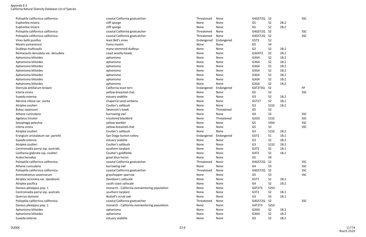| Polioptila californica californica | coastal California gnatcatcher                | Threatened | None       | G4G5T2Q        | - S2           |      | SSC        |
|------------------------------------|-----------------------------------------------|------------|------------|----------------|----------------|------|------------|
| Euphorbia misera                   | cliff spurge                                  | None       | None       | G5             | S <sub>2</sub> | 2B.2 |            |
| Euphorbia misera                   | cliff spurge                                  | None       | None       | G <sub>5</sub> | S <sub>2</sub> | 2B.2 |            |
| Polioptila californica californica | coastal California gnatcatcher                | Threatened | None       | G4G5T2Q        | S <sub>2</sub> |      | <b>SSC</b> |
| Polioptila californica californica | coastal California gnatcatcher                | Threatened | None       | G4G5T2Q        | S <sub>2</sub> |      | SSC        |
| Vireo bellii pusillus              | least Bell's vireo                            | Endangered | Endangered | G5T2           | S <sub>2</sub> |      |            |
| Myotis yumanensis                  | Yuma myotis                                   | None       | None       | G5             | <b>S4</b>      |      |            |
| Dudleya multicaulis                | many-stemmed dudleya                          | None       | None       | G <sub>2</sub> | S <sub>2</sub> | 1B.2 |            |
| Nemacaulis denudata var. denudata  | coast woolly-heads                            | None       | None       | G3G4T2         | S <sub>2</sub> | 1B.2 |            |
| Aphanisma blitoides                | aphanisma                                     | None       | None       | G3G4           | S <sub>2</sub> | 1B.2 |            |
| Aphanisma blitoides                | aphanisma                                     | None       | None       | G3G4           | S <sub>2</sub> | 1B.2 |            |
| Aphanisma blitoides                | aphanisma                                     | None       | None       | G3G4           | S <sub>2</sub> | 1B.2 |            |
| Aphanisma blitoides                | aphanisma                                     | None       | None       | G3G4           | S <sub>2</sub> | 1B.2 |            |
| Aphanisma blitoides                | aphanisma                                     | None       | None       | G3G4           | S <sub>2</sub> | 1B.2 |            |
| Aphanisma blitoides                | aphanisma                                     | None       | None       | G3G4           | S <sub>2</sub> | 1B.2 |            |
| Aphanisma blitoides                | aphanisma                                     | None       | None       | G3G4           | S <sub>2</sub> | 1B.2 |            |
| Sternula antillarum browni         | California least tern                         | Endangered | Endangered | G4T2T3Q        | S <sub>2</sub> |      | <b>FP</b>  |
| Icteria virens                     | yellow-breasted chat                          | None       | None       | G <sub>5</sub> | S <sub>3</sub> |      | <b>SSC</b> |
| Suaeda esteroa                     | estuary seablite                              | None       | None       | G <sub>3</sub> | S <sub>2</sub> | 1B.2 |            |
| Abronia villosa var. aurita        | chaparral sand-verbena                        | None       | None       | G5T2?          | S <sub>2</sub> | 1B.1 |            |
| Atriplex coulteri                  | Coulter's saltbush                            | None       | None       | G <sub>3</sub> | <b>S1S2</b>    | 1B.2 |            |
| Buteo swainsoni                    | Swainson's hawk                               | None       | Threatened | G <sub>5</sub> | S <sub>3</sub> |      |            |
| Athene cunicularia                 | burrowing owl                                 | None       | None       | G <sub>4</sub> | S <sub>3</sub> |      | <b>SSC</b> |
| Agelaius tricolor                  | tricolored blackbird                          | None       | Threatened | G2G3           | <b>S1S2</b>    |      | <b>SSC</b> |
| Setophaga petechia                 | yellow warbler                                | None       | None       | G <sub>5</sub> | <b>S3S4</b>    |      | <b>SSC</b> |
| Icteria virens                     | yellow-breasted chat                          | None       | None       | G <sub>5</sub> | S <sub>3</sub> |      | <b>SSC</b> |
| Atriplex coulteri                  | Coulter's saltbush                            | None       | None       | G <sub>3</sub> | <b>S1S2</b>    | 1B.2 |            |
| Eryngium aristulatum var. parishii | San Diego button-celery                       | Endangered | Endangered | G5T1           | S <sub>1</sub> | 1B.1 |            |
| Suaeda esteroa                     | estuary seablite                              | None       | None       | G <sub>3</sub> | S <sub>2</sub> | 1B.2 |            |
| Atriplex coulteri                  | Coulter's saltbush                            | None       | None       | G <sub>3</sub> | <b>S1S2</b>    | 1B.2 |            |
| Centromadia parryi ssp. australis  | southern tarplant                             | None       | None       | G3T2           | S <sub>2</sub> | 1B.1 |            |
| Lasthenia glabrata ssp. coulteri   | Coulter's goldfields                          | None       | None       | G4T2           | S <sub>2</sub> | 1B.1 |            |
| Ardea herodias                     | great blue heron                              | None       | None       | G <sub>5</sub> | S <sub>4</sub> |      |            |
| Polioptila californica californica | coastal California gnatcatcher                | Threatened | None       | G4G5T2Q        | <b>S2</b>      |      | <b>SSC</b> |
| Athene cunicularia                 | burrowing owl                                 | None       | None       | G4             | S <sub>3</sub> |      | <b>SSC</b> |
| Polioptila californica californica | coastal California gnatcatcher                | Threatened | None       | G4G5T2Q        | S <sub>2</sub> |      | <b>SSC</b> |
| Ammodramus savannarum              | grasshopper sparrow                           | None       | None       | G5             | S <sub>3</sub> |      | <b>SSC</b> |
| Atriplex serenana var. davidsonii  | Davidson's saltscale                          | None       | None       | G5T1           | S <sub>1</sub> | 1B.2 |            |
| Atriplex pacifica                  | south coast saltscale                         | None       | None       | G4             | S <sub>2</sub> | 1B.2 |            |
| Danaus plexippus pop. 1            | monarch - California overwintering population | None       | None       | G4T2T3         | <b>S2S3</b>    |      |            |
| Centromadia parryi ssp. australis  | southern tarplant                             | None       | None       | G3T2           | S <sub>2</sub> | 1B.1 |            |
| Quercus dumosa                     | Nuttall's scrub oak                           | None       | None       | G <sub>3</sub> | S <sub>3</sub> | 1B.1 |            |
| Polioptila californica californica | coastal California gnatcatcher                | Threatened | None       | G4G5T2Q        | S <sub>2</sub> |      | SSC        |
| Danaus plexippus pop. 1            | monarch - California overwintering population | None       | None       | G4T2T3         | <b>S2S3</b>    |      |            |
| Aphanisma blitoides                | aphanisma                                     | None       | None       | G3G4           | S <sub>2</sub> | 1B.2 |            |
| Aphanisma blitoides                | aphanisma                                     | None       | None       | G3G4           | S <sub>2</sub> | 1B.2 |            |
| Suaeda esteroa                     | estuary seablite                              | None       | None       | G <sub>3</sub> | S <sub>2</sub> | 1B.2 |            |
|                                    |                                               |            |            |                |                |      |            |